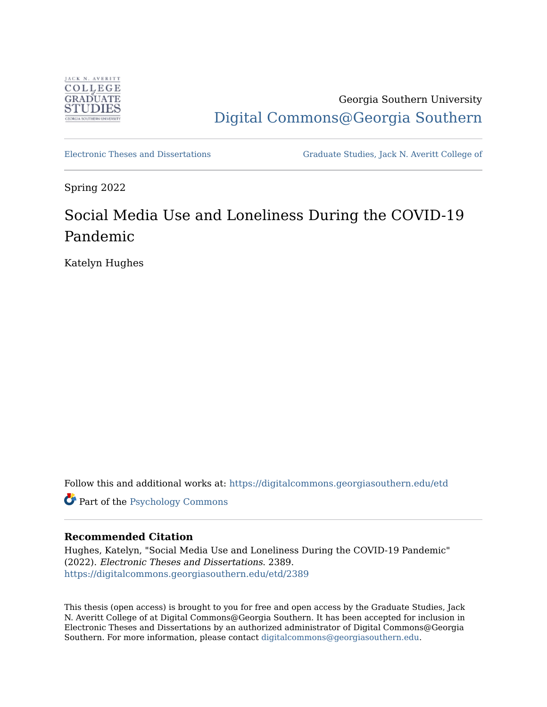

Georgia Southern University [Digital Commons@Georgia Southern](https://digitalcommons.georgiasouthern.edu/) 

[Electronic Theses and Dissertations](https://digitalcommons.georgiasouthern.edu/etd) [Graduate Studies, Jack N. Averitt College of](https://digitalcommons.georgiasouthern.edu/cogs) 

Spring 2022

# Social Media Use and Loneliness During the COVID-19 Pandemic

Katelyn Hughes

Follow this and additional works at: [https://digitalcommons.georgiasouthern.edu/etd](https://digitalcommons.georgiasouthern.edu/etd?utm_source=digitalcommons.georgiasouthern.edu%2Fetd%2F2389&utm_medium=PDF&utm_campaign=PDFCoverPages) 

Part of the [Psychology Commons](http://network.bepress.com/hgg/discipline/404?utm_source=digitalcommons.georgiasouthern.edu%2Fetd%2F2389&utm_medium=PDF&utm_campaign=PDFCoverPages)

## **Recommended Citation**

Hughes, Katelyn, "Social Media Use and Loneliness During the COVID-19 Pandemic" (2022). Electronic Theses and Dissertations. 2389. [https://digitalcommons.georgiasouthern.edu/etd/2389](https://digitalcommons.georgiasouthern.edu/etd/2389?utm_source=digitalcommons.georgiasouthern.edu%2Fetd%2F2389&utm_medium=PDF&utm_campaign=PDFCoverPages) 

This thesis (open access) is brought to you for free and open access by the Graduate Studies, Jack N. Averitt College of at Digital Commons@Georgia Southern. It has been accepted for inclusion in Electronic Theses and Dissertations by an authorized administrator of Digital Commons@Georgia Southern. For more information, please contact [digitalcommons@georgiasouthern.edu](mailto:digitalcommons@georgiasouthern.edu).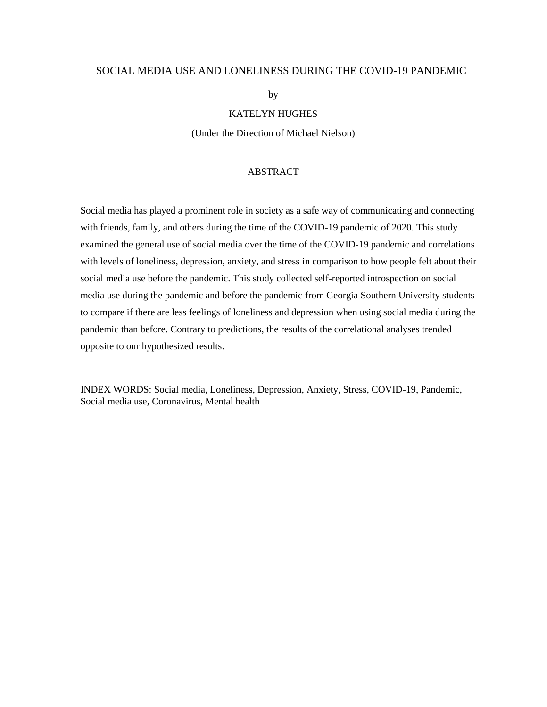#### SOCIAL MEDIA USE AND LONELINESS DURING THE COVID-19 PANDEMIC

by

#### KATELYN HUGHES

(Under the Direction of Michael Nielson)

#### ABSTRACT

Social media has played a prominent role in society as a safe way of communicating and connecting with friends, family, and others during the time of the COVID-19 pandemic of 2020. This study examined the general use of social media over the time of the COVID-19 pandemic and correlations with levels of loneliness, depression, anxiety, and stress in comparison to how people felt about their social media use before the pandemic. This study collected self-reported introspection on social media use during the pandemic and before the pandemic from Georgia Southern University students to compare if there are less feelings of loneliness and depression when using social media during the pandemic than before. Contrary to predictions, the results of the correlational analyses trended opposite to our hypothesized results.

INDEX WORDS: Social media, Loneliness, Depression, Anxiety, Stress, COVID-19, Pandemic, Social media use, Coronavirus, Mental health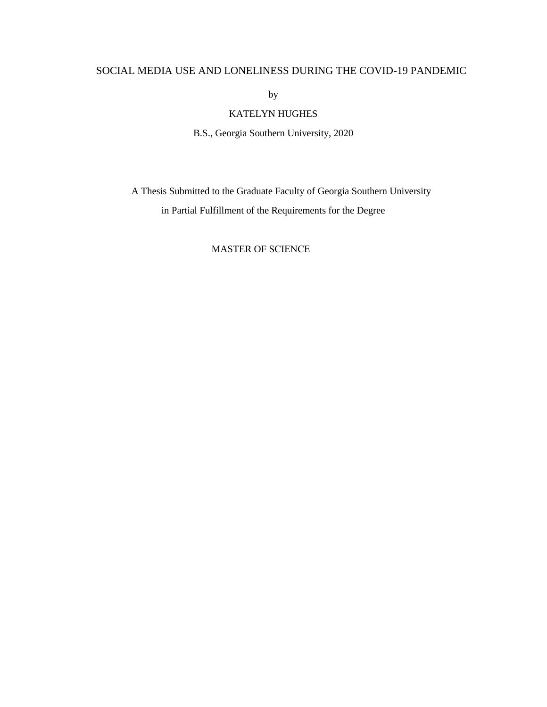## SOCIAL MEDIA USE AND LONELINESS DURING THE COVID-19 PANDEMIC

by

## KATELYN HUGHES

B.S., Georgia Southern University, 2020

A Thesis Submitted to the Graduate Faculty of Georgia Southern University in Partial Fulfillment of the Requirements for the Degree

#### MASTER OF SCIENCE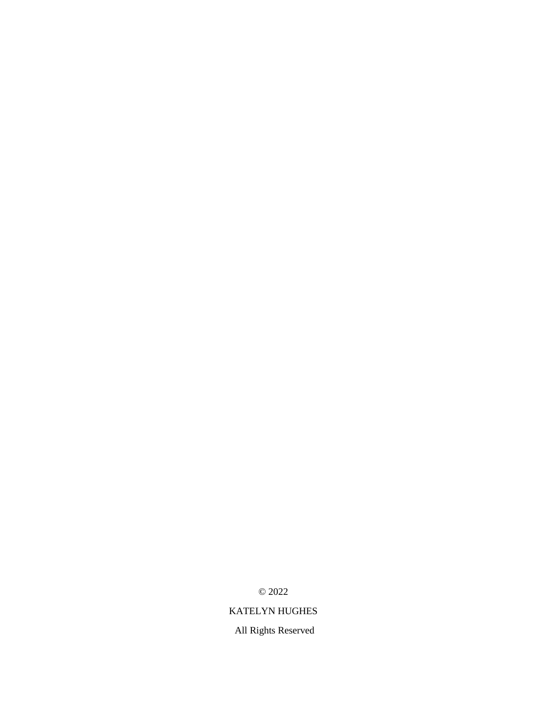© 2022

## KATELYN HUGHES

All Rights Reserved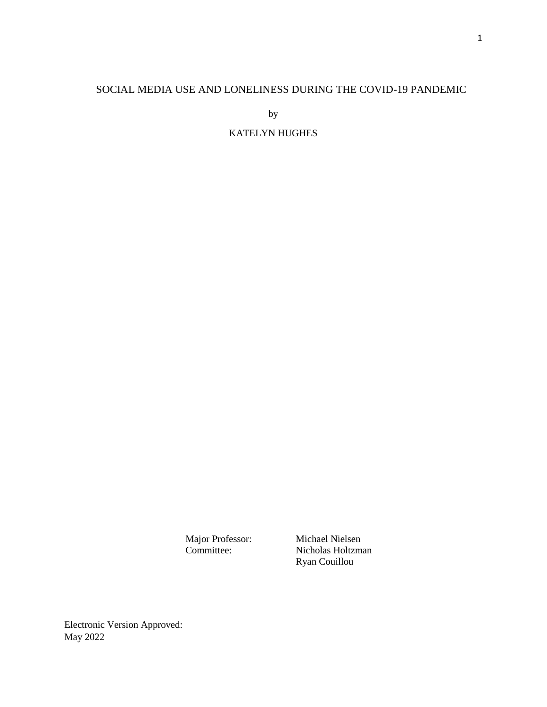## SOCIAL MEDIA USE AND LONELINESS DURING THE COVID-19 PANDEMIC

by

## KATELYN HUGHES

Major Professor: Michael Nielsen<br>Committee: Nicholas Holtzm Nicholas Holtzman Ryan Couillou

Electronic Version Approved: May 2022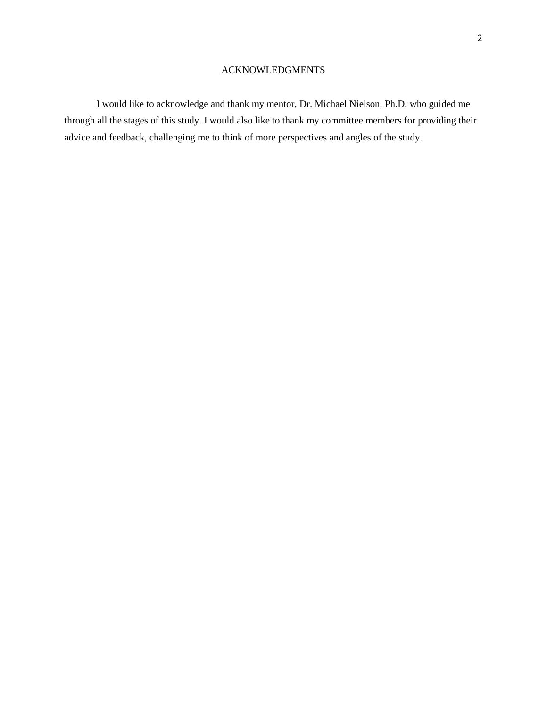#### ACKNOWLEDGMENTS

I would like to acknowledge and thank my mentor, Dr. Michael Nielson, Ph.D, who guided me through all the stages of this study. I would also like to thank my committee members for providing their advice and feedback, challenging me to think of more perspectives and angles of the study.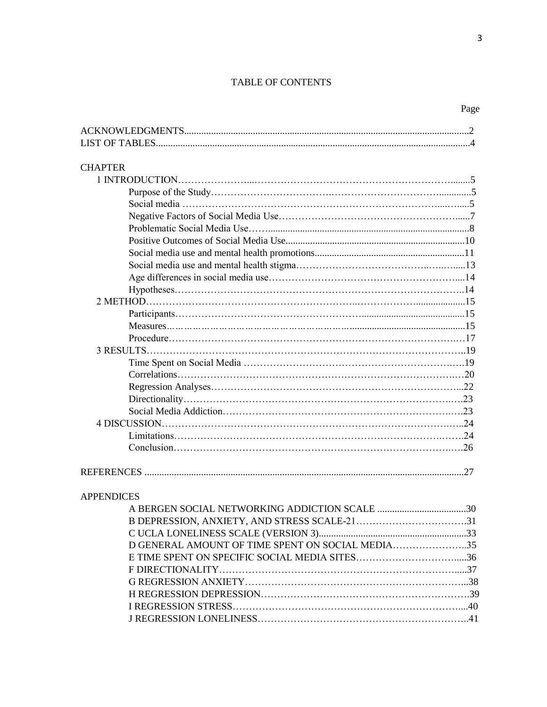#### TABLE OF CONTENTS

| <b>CHAPTER</b>                                   |  |
|--------------------------------------------------|--|
|                                                  |  |
|                                                  |  |
|                                                  |  |
|                                                  |  |
|                                                  |  |
|                                                  |  |
|                                                  |  |
|                                                  |  |
|                                                  |  |
|                                                  |  |
|                                                  |  |
|                                                  |  |
|                                                  |  |
|                                                  |  |
|                                                  |  |
|                                                  |  |
|                                                  |  |
|                                                  |  |
|                                                  |  |
|                                                  |  |
|                                                  |  |
|                                                  |  |
|                                                  |  |
|                                                  |  |
| <b>APPENDICES</b>                                |  |
|                                                  |  |
| B DEPRESSION, ANXIETY, AND STRESS SCALE-2131     |  |
|                                                  |  |
| D GENERAL AMOUNT OF TIME SPENT ON SOCIAL MEDIA35 |  |

E TIME SPENT ON SPECIFIC SOCIAL MEDIA SITES………………………….....36 F DIRECTIONALITY……………………………………………………………….....37 G REGRESSION ANXIETY…………………………………………………………...38 H REGRESSION DEPRESSION……………………………………………………….39 I REGRESSION STRESS……………………………………………………………....40 J REGRESSION LONELINESS………………………………………………………..41

Page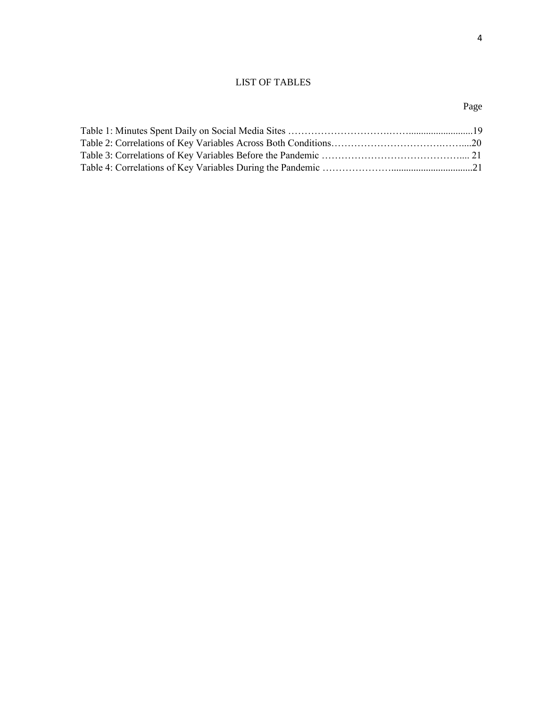## LIST OF TABLES

## Page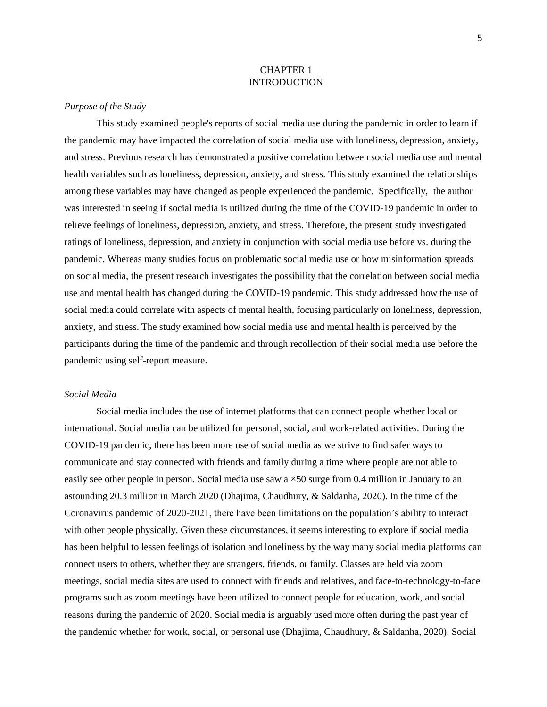#### CHAPTER 1 INTRODUCTION

#### *Purpose of the Study*

This study examined people's reports of social media use during the pandemic in order to learn if the pandemic may have impacted the correlation of social media use with loneliness, depression, anxiety, and stress. Previous research has demonstrated a positive correlation between social media use and mental health variables such as loneliness, depression, anxiety, and stress. This study examined the relationships among these variables may have changed as people experienced the pandemic. Specifically, the author was interested in seeing if social media is utilized during the time of the COVID-19 pandemic in order to relieve feelings of loneliness, depression, anxiety, and stress. Therefore, the present study investigated ratings of loneliness, depression, and anxiety in conjunction with social media use before vs. during the pandemic. Whereas many studies focus on problematic social media use or how misinformation spreads on social media, the present research investigates the possibility that the correlation between social media use and mental health has changed during the COVID-19 pandemic. This study addressed how the use of social media could correlate with aspects of mental health, focusing particularly on loneliness, depression, anxiety, and stress. The study examined how social media use and mental health is perceived by the participants during the time of the pandemic and through recollection of their social media use before the pandemic using self-report measure.

#### *Social Media*

Social media includes the use of internet platforms that can connect people whether local or international. Social media can be utilized for personal, social, and work-related activities. During the COVID-19 pandemic, there has been more use of social media as we strive to find safer ways to communicate and stay connected with friends and family during a time where people are not able to easily see other people in person. Social media use saw a  $\times$ 50 surge from 0.4 million in January to an astounding 20.3 million in March 2020 (Dhajima, Chaudhury, & Saldanha, 2020). In the time of the Coronavirus pandemic of 2020-2021, there have been limitations on the population's ability to interact with other people physically. Given these circumstances, it seems interesting to explore if social media has been helpful to lessen feelings of isolation and loneliness by the way many social media platforms can connect users to others, whether they are strangers, friends, or family. Classes are held via zoom meetings, social media sites are used to connect with friends and relatives, and face-to-technology-to-face programs such as zoom meetings have been utilized to connect people for education, work, and social reasons during the pandemic of 2020. Social media is arguably used more often during the past year of the pandemic whether for work, social, or personal use (Dhajima, Chaudhury, & Saldanha, 2020). Social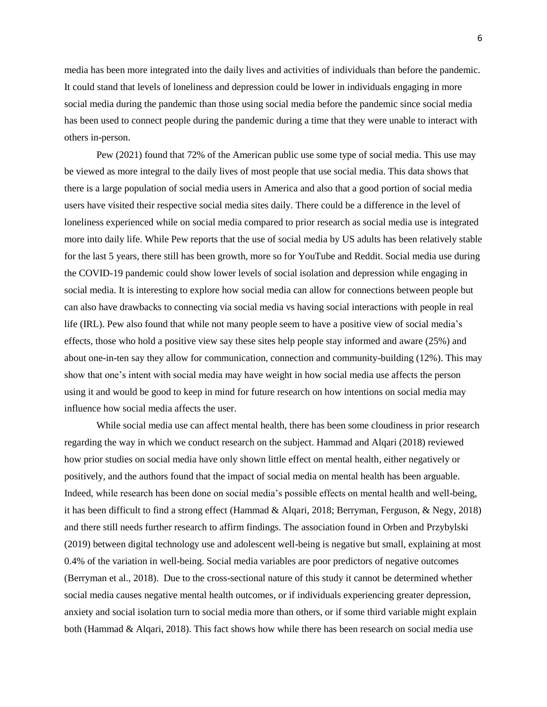media has been more integrated into the daily lives and activities of individuals than before the pandemic. It could stand that levels of loneliness and depression could be lower in individuals engaging in more social media during the pandemic than those using social media before the pandemic since social media has been used to connect people during the pandemic during a time that they were unable to interact with others in-person.

Pew (2021) found that 72% of the American public use some type of social media. This use may be viewed as more integral to the daily lives of most people that use social media. This data shows that there is a large population of social media users in America and also that a good portion of social media users have visited their respective social media sites daily. There could be a difference in the level of loneliness experienced while on social media compared to prior research as social media use is integrated more into daily life. While Pew reports that the use of social media by US adults has been relatively stable for the last 5 years, there still has been growth, more so for YouTube and Reddit. Social media use during the COVID-19 pandemic could show lower levels of social isolation and depression while engaging in social media. It is interesting to explore how social media can allow for connections between people but can also have drawbacks to connecting via social media vs having social interactions with people in real life (IRL). Pew also found that while not many people seem to have a positive view of social media's effects, those who hold a positive view say these sites help people stay informed and aware (25%) and about one-in-ten say they allow for communication, connection and community-building (12%). This may show that one's intent with social media may have weight in how social media use affects the person using it and would be good to keep in mind for future research on how intentions on social media may influence how social media affects the user.

While social media use can affect mental health, there has been some cloudiness in prior research regarding the way in which we conduct research on the subject. Hammad and Alqari (2018) reviewed how prior studies on social media have only shown little effect on mental health, either negatively or positively, and the authors found that the impact of social media on mental health has been arguable. Indeed, while research has been done on social media's possible effects on mental health and well-being, it has been difficult to find a strong effect (Hammad & Alqari, 2018; Berryman, Ferguson, & Negy, 2018) and there still needs further research to affirm findings. The association found in Orben and Przybylski (2019) between digital technology use and adolescent well-being is negative but small, explaining at most 0.4% of the variation in well-being. Social media variables are poor predictors of negative outcomes (Berryman et al., 2018). Due to the cross-sectional nature of this study it cannot be determined whether social media causes negative mental health outcomes, or if individuals experiencing greater depression, anxiety and social isolation turn to social media more than others, or if some third variable might explain both (Hammad & Alqari, 2018). This fact shows how while there has been research on social media use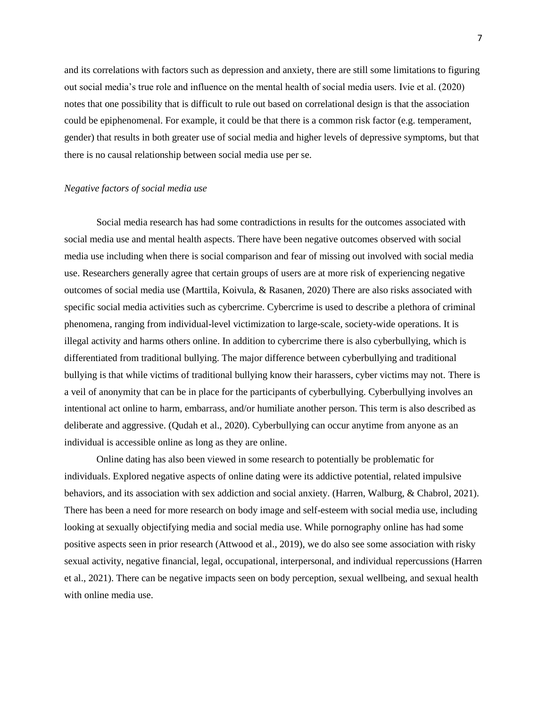and its correlations with factors such as depression and anxiety, there are still some limitations to figuring out social media's true role and influence on the mental health of social media users. Ivie et al. (2020) notes that one possibility that is difficult to rule out based on correlational design is that the association could be epiphenomenal. For example, it could be that there is a common risk factor (e.g. temperament, gender) that results in both greater use of social media and higher levels of depressive symptoms, but that there is no causal relationship between social media use per se.

#### *Negative factors of social media use*

Social media research has had some contradictions in results for the outcomes associated with social media use and mental health aspects. There have been negative outcomes observed with social media use including when there is social comparison and fear of missing out involved with social media use. Researchers generally agree that certain groups of users are at more risk of experiencing negative outcomes of social media use (Marttila, Koivula, & Rasanen, 2020) There are also risks associated with specific social media activities such as cybercrime. Cybercrime is used to describe a plethora of criminal phenomena, ranging from individual-level victimization to large-scale, society-wide operations. It is illegal activity and harms others online. In addition to cybercrime there is also cyberbullying, which is differentiated from traditional bullying. The major difference between cyberbullying and traditional bullying is that while victims of traditional bullying know their harassers, cyber victims may not. There is a veil of anonymity that can be in place for the participants of cyberbullying. Cyberbullying involves an intentional act online to harm, embarrass, and/or humiliate another person. This term is also described as deliberate and aggressive. (Qudah et al., 2020). Cyberbullying can occur anytime from anyone as an individual is accessible online as long as they are online.

Online dating has also been viewed in some research to potentially be problematic for individuals. Explored negative aspects of online dating were its addictive potential, related impulsive behaviors, and its association with sex addiction and social anxiety. (Harren, Walburg, & Chabrol, 2021). There has been a need for more research on body image and self-esteem with social media use, including looking at sexually objectifying media and social media use. While pornography online has had some positive aspects seen in prior research (Attwood et al., 2019), we do also see some association with risky sexual activity, negative financial, legal, occupational, interpersonal, and individual repercussions (Harren et al., 2021). There can be negative impacts seen on body perception, sexual wellbeing, and sexual health with online media use.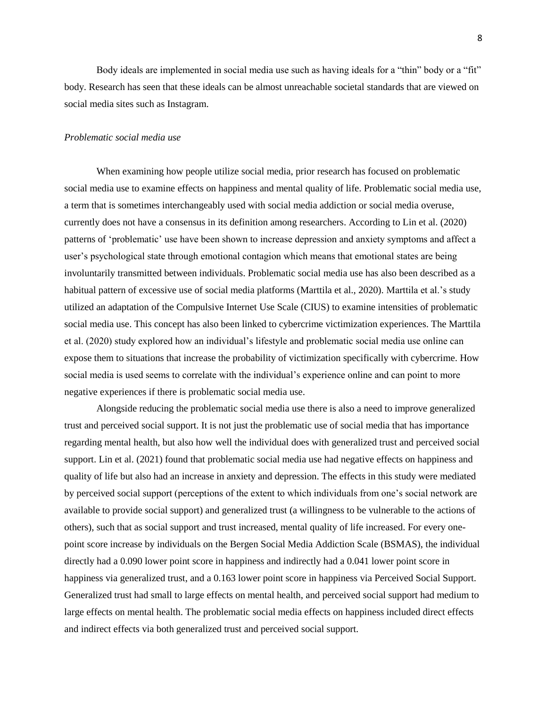Body ideals are implemented in social media use such as having ideals for a "thin" body or a "fit" body. Research has seen that these ideals can be almost unreachable societal standards that are viewed on social media sites such as Instagram.

#### *Problematic social media use*

When examining how people utilize social media, prior research has focused on problematic social media use to examine effects on happiness and mental quality of life. Problematic social media use, a term that is sometimes interchangeably used with social media addiction or social media overuse, currently does not have a consensus in its definition among researchers. According to Lin et al. (2020) patterns of 'problematic' use have been shown to increase depression and anxiety symptoms and affect a user's psychological state through emotional contagion which means that emotional states are being involuntarily transmitted between individuals. Problematic social media use has also been described as a habitual pattern of excessive use of social media platforms (Marttila et al., 2020). Marttila et al.'s study utilized an adaptation of the Compulsive Internet Use Scale (CIUS) to examine intensities of problematic social media use. This concept has also been linked to cybercrime victimization experiences. The Marttila et al. (2020) study explored how an individual's lifestyle and problematic social media use online can expose them to situations that increase the probability of victimization specifically with cybercrime. How social media is used seems to correlate with the individual's experience online and can point to more negative experiences if there is problematic social media use.

Alongside reducing the problematic social media use there is also a need to improve generalized trust and perceived social support. It is not just the problematic use of social media that has importance regarding mental health, but also how well the individual does with generalized trust and perceived social support. Lin et al. (2021) found that problematic social media use had negative effects on happiness and quality of life but also had an increase in anxiety and depression. The effects in this study were mediated by perceived social support (perceptions of the extent to which individuals from one's social network are available to provide social support) and generalized trust (a willingness to be vulnerable to the actions of others), such that as social support and trust increased, mental quality of life increased. For every onepoint score increase by individuals on the Bergen Social Media Addiction Scale (BSMAS), the individual directly had a 0.090 lower point score in happiness and indirectly had a 0.041 lower point score in happiness via generalized trust, and a 0.163 lower point score in happiness via Perceived Social Support. Generalized trust had small to large effects on mental health, and perceived social support had medium to large effects on mental health. The problematic social media effects on happiness included direct effects and indirect effects via both generalized trust and perceived social support.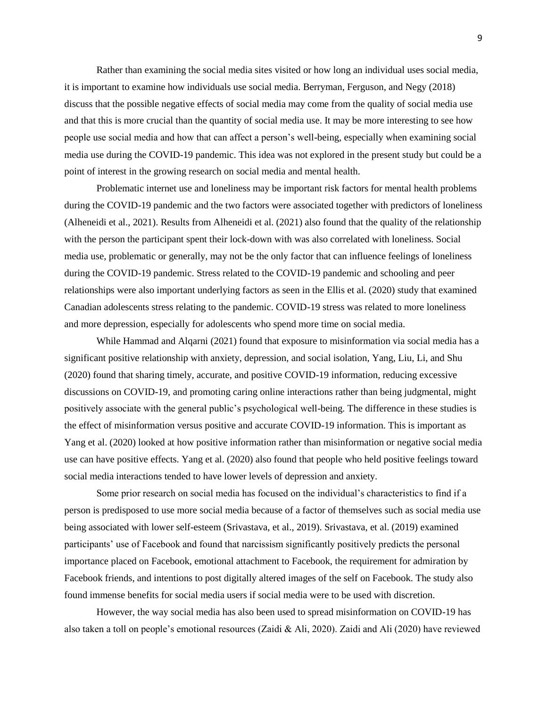Rather than examining the social media sites visited or how long an individual uses social media, it is important to examine how individuals use social media. Berryman, Ferguson, and Negy (2018) discuss that the possible negative effects of social media may come from the quality of social media use and that this is more crucial than the quantity of social media use. It may be more interesting to see how people use social media and how that can affect a person's well-being, especially when examining social media use during the COVID-19 pandemic. This idea was not explored in the present study but could be a point of interest in the growing research on social media and mental health.

Problematic internet use and loneliness may be important risk factors for mental health problems during the COVID-19 pandemic and the two factors were associated together with predictors of loneliness (Alheneidi et al., 2021). Results from Alheneidi et al. (2021) also found that the quality of the relationship with the person the participant spent their lock-down with was also correlated with loneliness. Social media use, problematic or generally, may not be the only factor that can influence feelings of loneliness during the COVID-19 pandemic. Stress related to the COVID-19 pandemic and schooling and peer relationships were also important underlying factors as seen in the Ellis et al. (2020) study that examined Canadian adolescents stress relating to the pandemic. COVID-19 stress was related to more loneliness and more depression, especially for adolescents who spend more time on social media.

While Hammad and Alqarni (2021) found that exposure to misinformation via social media has a significant positive relationship with anxiety, depression, and social isolation, Yang, Liu, Li, and Shu (2020) found that sharing timely, accurate, and positive COVID-19 information, reducing excessive discussions on COVID-19, and promoting caring online interactions rather than being judgmental, might positively associate with the general public's psychological well-being. The difference in these studies is the effect of misinformation versus positive and accurate COVID-19 information. This is important as Yang et al. (2020) looked at how positive information rather than misinformation or negative social media use can have positive effects. Yang et al. (2020) also found that people who held positive feelings toward social media interactions tended to have lower levels of depression and anxiety.

Some prior research on social media has focused on the individual's characteristics to find if a person is predisposed to use more social media because of a factor of themselves such as social media use being associated with lower self-esteem (Srivastava, et al., 2019). Srivastava, et al. (2019) examined participants' use of Facebook and found that narcissism significantly positively predicts the personal importance placed on Facebook, emotional attachment to Facebook, the requirement for admiration by Facebook friends, and intentions to post digitally altered images of the self on Facebook. The study also found immense benefits for social media users if social media were to be used with discretion.

However, the way social media has also been used to spread misinformation on COVID-19 has also taken a toll on people's emotional resources (Zaidi & Ali, 2020). Zaidi and Ali (2020) have reviewed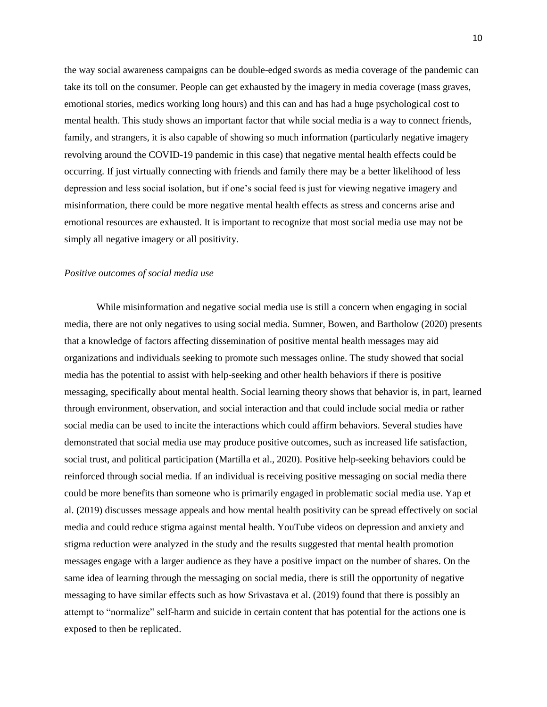the way social awareness campaigns can be double-edged swords as media coverage of the pandemic can take its toll on the consumer. People can get exhausted by the imagery in media coverage (mass graves, emotional stories, medics working long hours) and this can and has had a huge psychological cost to mental health. This study shows an important factor that while social media is a way to connect friends, family, and strangers, it is also capable of showing so much information (particularly negative imagery revolving around the COVID-19 pandemic in this case) that negative mental health effects could be occurring. If just virtually connecting with friends and family there may be a better likelihood of less depression and less social isolation, but if one's social feed is just for viewing negative imagery and misinformation, there could be more negative mental health effects as stress and concerns arise and emotional resources are exhausted. It is important to recognize that most social media use may not be simply all negative imagery or all positivity.

#### *Positive outcomes of social media use*

While misinformation and negative social media use is still a concern when engaging in social media, there are not only negatives to using social media. Sumner, Bowen, and Bartholow (2020) presents that a knowledge of factors affecting dissemination of positive mental health messages may aid organizations and individuals seeking to promote such messages online. The study showed that social media has the potential to assist with help-seeking and other health behaviors if there is positive messaging, specifically about mental health. Social learning theory shows that behavior is, in part, learned through environment, observation, and social interaction and that could include social media or rather social media can be used to incite the interactions which could affirm behaviors. Several studies have demonstrated that social media use may produce positive outcomes, such as increased life satisfaction, social trust, and political participation (Martilla et al., 2020). Positive help-seeking behaviors could be reinforced through social media. If an individual is receiving positive messaging on social media there could be more benefits than someone who is primarily engaged in problematic social media use. Yap et al. (2019) discusses message appeals and how mental health positivity can be spread effectively on social media and could reduce stigma against mental health. YouTube videos on depression and anxiety and stigma reduction were analyzed in the study and the results suggested that mental health promotion messages engage with a larger audience as they have a positive impact on the number of shares. On the same idea of learning through the messaging on social media, there is still the opportunity of negative messaging to have similar effects such as how Srivastava et al. (2019) found that there is possibly an attempt to "normalize" self-harm and suicide in certain content that has potential for the actions one is exposed to then be replicated.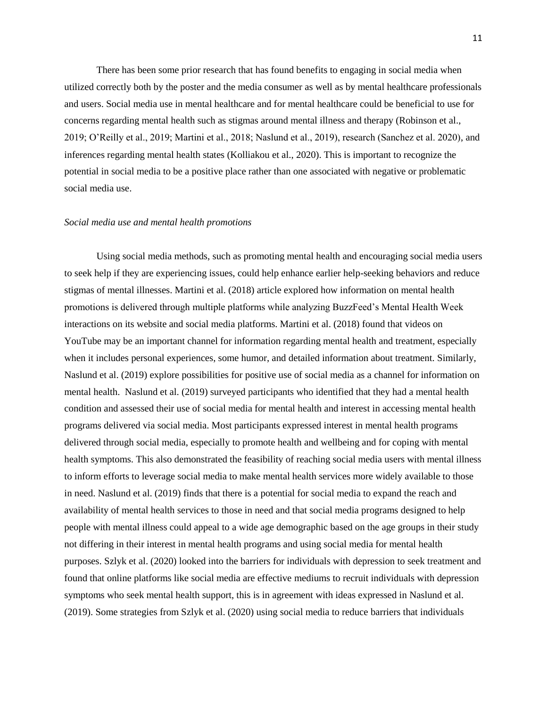There has been some prior research that has found benefits to engaging in social media when utilized correctly both by the poster and the media consumer as well as by mental healthcare professionals and users. Social media use in mental healthcare and for mental healthcare could be beneficial to use for concerns regarding mental health such as stigmas around mental illness and therapy (Robinson et al., 2019; O'Reilly et al., 2019; Martini et al., 2018; Naslund et al., 2019), research (Sanchez et al. 2020), and inferences regarding mental health states (Kolliakou et al., 2020). This is important to recognize the potential in social media to be a positive place rather than one associated with negative or problematic social media use.

#### *Social media use and mental health promotions*

Using social media methods, such as promoting mental health and encouraging social media users to seek help if they are experiencing issues, could help enhance earlier help-seeking behaviors and reduce stigmas of mental illnesses. Martini et al. (2018) article explored how information on mental health promotions is delivered through multiple platforms while analyzing BuzzFeed's Mental Health Week interactions on its website and social media platforms. Martini et al. (2018) found that videos on YouTube may be an important channel for information regarding mental health and treatment, especially when it includes personal experiences, some humor, and detailed information about treatment. Similarly, Naslund et al. (2019) explore possibilities for positive use of social media as a channel for information on mental health. Naslund et al. (2019) surveyed participants who identified that they had a mental health condition and assessed their use of social media for mental health and interest in accessing mental health programs delivered via social media. Most participants expressed interest in mental health programs delivered through social media, especially to promote health and wellbeing and for coping with mental health symptoms. This also demonstrated the feasibility of reaching social media users with mental illness to inform efforts to leverage social media to make mental health services more widely available to those in need. Naslund et al. (2019) finds that there is a potential for social media to expand the reach and availability of mental health services to those in need and that social media programs designed to help people with mental illness could appeal to a wide age demographic based on the age groups in their study not differing in their interest in mental health programs and using social media for mental health purposes. Szlyk et al. (2020) looked into the barriers for individuals with depression to seek treatment and found that online platforms like social media are effective mediums to recruit individuals with depression symptoms who seek mental health support, this is in agreement with ideas expressed in Naslund et al. (2019). Some strategies from Szlyk et al. (2020) using social media to reduce barriers that individuals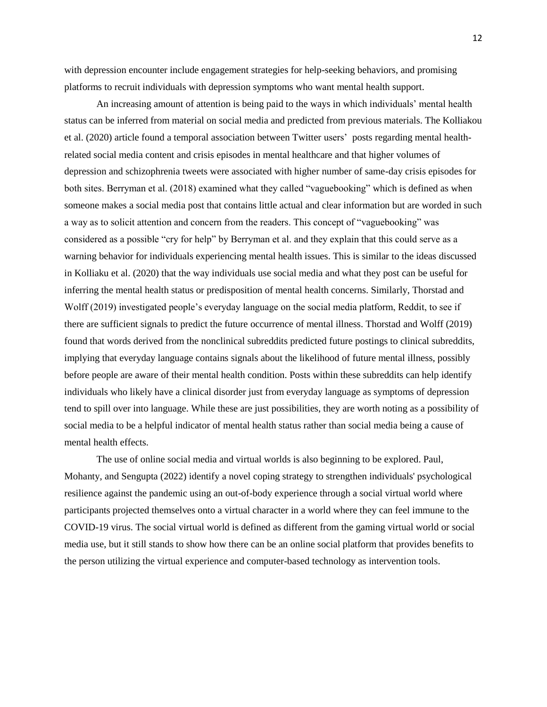with depression encounter include engagement strategies for help-seeking behaviors, and promising platforms to recruit individuals with depression symptoms who want mental health support.

An increasing amount of attention is being paid to the ways in which individuals' mental health status can be inferred from material on social media and predicted from previous materials. The Kolliakou et al. (2020) article found a temporal association between Twitter users' posts regarding mental healthrelated social media content and crisis episodes in mental healthcare and that higher volumes of depression and schizophrenia tweets were associated with higher number of same-day crisis episodes for both sites. Berryman et al. (2018) examined what they called "vaguebooking" which is defined as when someone makes a social media post that contains little actual and clear information but are worded in such a way as to solicit attention and concern from the readers. This concept of "vaguebooking" was considered as a possible "cry for help" by Berryman et al. and they explain that this could serve as a warning behavior for individuals experiencing mental health issues. This is similar to the ideas discussed in Kolliaku et al. (2020) that the way individuals use social media and what they post can be useful for inferring the mental health status or predisposition of mental health concerns. Similarly, Thorstad and Wolff (2019) investigated people's everyday language on the social media platform, Reddit, to see if there are sufficient signals to predict the future occurrence of mental illness. Thorstad and Wolff (2019) found that words derived from the nonclinical subreddits predicted future postings to clinical subreddits, implying that everyday language contains signals about the likelihood of future mental illness, possibly before people are aware of their mental health condition. Posts within these subreddits can help identify individuals who likely have a clinical disorder just from everyday language as symptoms of depression tend to spill over into language. While these are just possibilities, they are worth noting as a possibility of social media to be a helpful indicator of mental health status rather than social media being a cause of mental health effects.

The use of online social media and virtual worlds is also beginning to be explored. Paul, Mohanty, and Sengupta (2022) identify a novel coping strategy to strengthen individuals' psychological resilience against the pandemic using an out-of-body experience through a social virtual world where participants projected themselves onto a virtual character in a world where they can feel immune to the COVID-19 virus. The social virtual world is defined as different from the gaming virtual world or social media use, but it still stands to show how there can be an online social platform that provides benefits to the person utilizing the virtual experience and computer-based technology as intervention tools.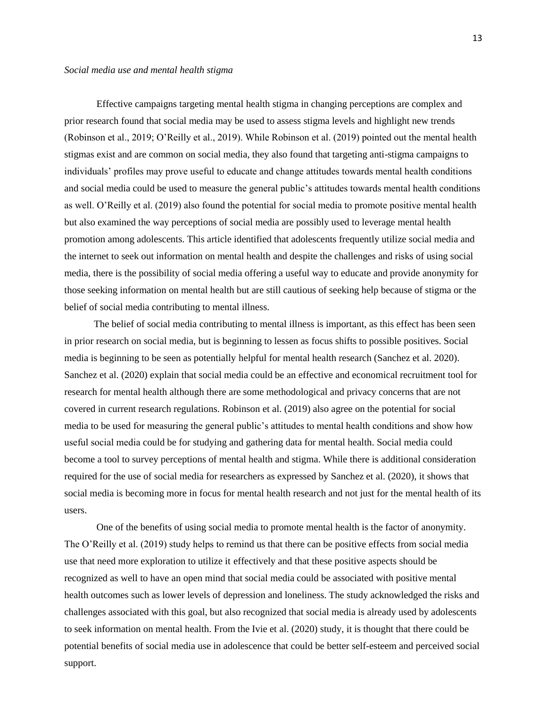Effective campaigns targeting mental health stigma in changing perceptions are complex and prior research found that social media may be used to assess stigma levels and highlight new trends (Robinson et al., 2019; O'Reilly et al., 2019). While Robinson et al. (2019) pointed out the mental health stigmas exist and are common on social media, they also found that targeting anti-stigma campaigns to individuals' profiles may prove useful to educate and change attitudes towards mental health conditions and social media could be used to measure the general public's attitudes towards mental health conditions as well. O'Reilly et al. (2019) also found the potential for social media to promote positive mental health but also examined the way perceptions of social media are possibly used to leverage mental health promotion among adolescents. This article identified that adolescents frequently utilize social media and the internet to seek out information on mental health and despite the challenges and risks of using social media, there is the possibility of social media offering a useful way to educate and provide anonymity for those seeking information on mental health but are still cautious of seeking help because of stigma or the belief of social media contributing to mental illness.

The belief of social media contributing to mental illness is important, as this effect has been seen in prior research on social media, but is beginning to lessen as focus shifts to possible positives. Social media is beginning to be seen as potentially helpful for mental health research (Sanchez et al. 2020). Sanchez et al. (2020) explain that social media could be an effective and economical recruitment tool for research for mental health although there are some methodological and privacy concerns that are not covered in current research regulations. Robinson et al. (2019) also agree on the potential for social media to be used for measuring the general public's attitudes to mental health conditions and show how useful social media could be for studying and gathering data for mental health. Social media could become a tool to survey perceptions of mental health and stigma. While there is additional consideration required for the use of social media for researchers as expressed by Sanchez et al. (2020), it shows that social media is becoming more in focus for mental health research and not just for the mental health of its users.

One of the benefits of using social media to promote mental health is the factor of anonymity. The O'Reilly et al. (2019) study helps to remind us that there can be positive effects from social media use that need more exploration to utilize it effectively and that these positive aspects should be recognized as well to have an open mind that social media could be associated with positive mental health outcomes such as lower levels of depression and loneliness. The study acknowledged the risks and challenges associated with this goal, but also recognized that social media is already used by adolescents to seek information on mental health. From the Ivie et al. (2020) study, it is thought that there could be potential benefits of social media use in adolescence that could be better self-esteem and perceived social support.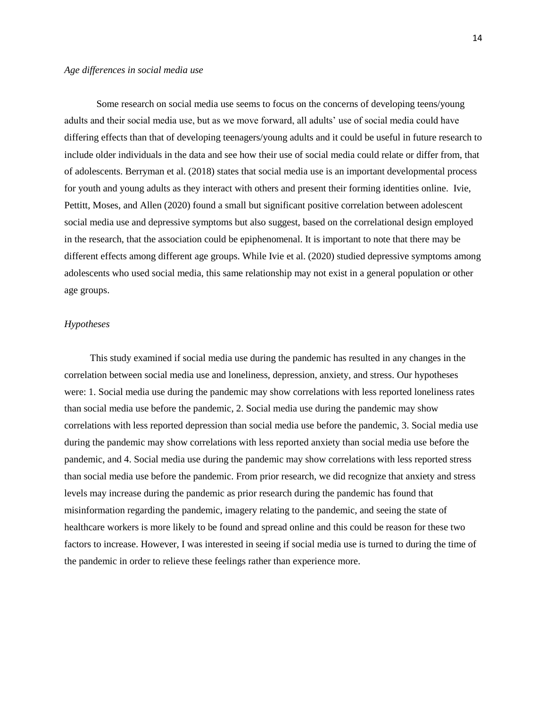Some research on social media use seems to focus on the concerns of developing teens/young adults and their social media use, but as we move forward, all adults' use of social media could have differing effects than that of developing teenagers/young adults and it could be useful in future research to include older individuals in the data and see how their use of social media could relate or differ from, that of adolescents. Berryman et al. (2018) states that social media use is an important developmental process for youth and young adults as they interact with others and present their forming identities online. Ivie, Pettitt, Moses, and Allen (2020) found a small but significant positive correlation between adolescent social media use and depressive symptoms but also suggest, based on the correlational design employed in the research, that the association could be epiphenomenal. It is important to note that there may be different effects among different age groups. While Ivie et al. (2020) studied depressive symptoms among adolescents who used social media, this same relationship may not exist in a general population or other age groups.

#### *Hypotheses*

This study examined if social media use during the pandemic has resulted in any changes in the correlation between social media use and loneliness, depression, anxiety, and stress. Our hypotheses were: 1. Social media use during the pandemic may show correlations with less reported loneliness rates than social media use before the pandemic, 2. Social media use during the pandemic may show correlations with less reported depression than social media use before the pandemic, 3. Social media use during the pandemic may show correlations with less reported anxiety than social media use before the pandemic, and 4. Social media use during the pandemic may show correlations with less reported stress than social media use before the pandemic. From prior research, we did recognize that anxiety and stress levels may increase during the pandemic as prior research during the pandemic has found that misinformation regarding the pandemic, imagery relating to the pandemic, and seeing the state of healthcare workers is more likely to be found and spread online and this could be reason for these two factors to increase. However, I was interested in seeing if social media use is turned to during the time of the pandemic in order to relieve these feelings rather than experience more.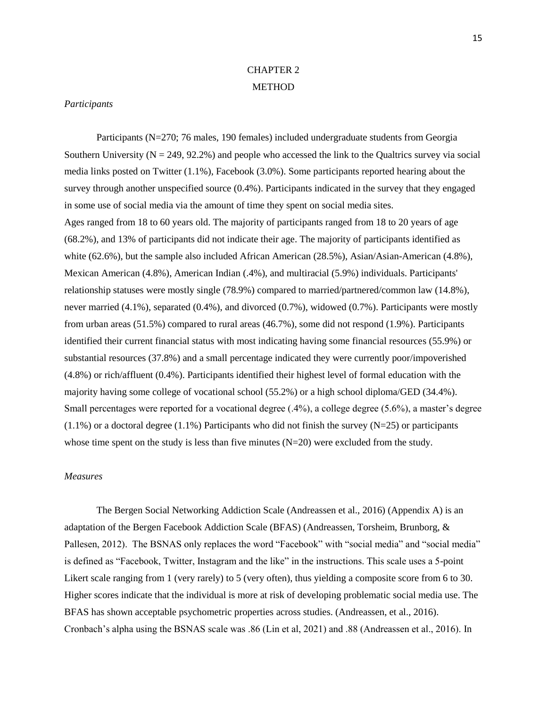## CHAPTER 2 METHOD

#### *Participants*

Participants (N=270; 76 males, 190 females) included undergraduate students from Georgia Southern University ( $N = 249, 92.2\%$ ) and people who accessed the link to the Qualtrics survey via social media links posted on Twitter (1.1%), Facebook (3.0%). Some participants reported hearing about the survey through another unspecified source (0.4%). Participants indicated in the survey that they engaged in some use of social media via the amount of time they spent on social media sites. Ages ranged from 18 to 60 years old. The majority of participants ranged from 18 to 20 years of age (68.2%), and 13% of participants did not indicate their age. The majority of participants identified as white (62.6%), but the sample also included African American (28.5%), Asian/Asian-American (4.8%), Mexican American (4.8%), American Indian (.4%), and multiracial (5.9%) individuals. Participants' relationship statuses were mostly single (78.9%) compared to married/partnered/common law (14.8%), never married (4.1%), separated (0.4%), and divorced (0.7%), widowed (0.7%). Participants were mostly from urban areas (51.5%) compared to rural areas (46.7%), some did not respond (1.9%). Participants identified their current financial status with most indicating having some financial resources (55.9%) or substantial resources (37.8%) and a small percentage indicated they were currently poor/impoverished (4.8%) or rich/affluent (0.4%). Participants identified their highest level of formal education with the majority having some college of vocational school (55.2%) or a high school diploma/GED (34.4%). Small percentages were reported for a vocational degree (.4%), a college degree (5.6%), a master's degree  $(1.1\%)$  or a doctoral degree  $(1.1\%)$  Participants who did not finish the survey  $(N=25)$  or participants whose time spent on the study is less than five minutes  $(N=20)$  were excluded from the study.

#### *Measures*

The Bergen Social Networking Addiction Scale (Andreassen et al., 2016) (Appendix A) is an adaptation of the Bergen Facebook Addiction Scale (BFAS) (Andreassen, Torsheim, Brunborg, & Pallesen, 2012). The BSNAS only replaces the word "Facebook" with "social media" and "social media" is defined as "Facebook, Twitter, Instagram and the like" in the instructions. This scale uses a 5-point Likert scale ranging from 1 (very rarely) to 5 (very often), thus yielding a composite score from 6 to 30. Higher scores indicate that the individual is more at risk of developing problematic social media use. The BFAS has shown acceptable psychometric properties across studies. (Andreassen, et al., 2016). Cronbach's alpha using the BSNAS scale was .86 (Lin et al, 2021) and .88 (Andreassen et al., 2016). In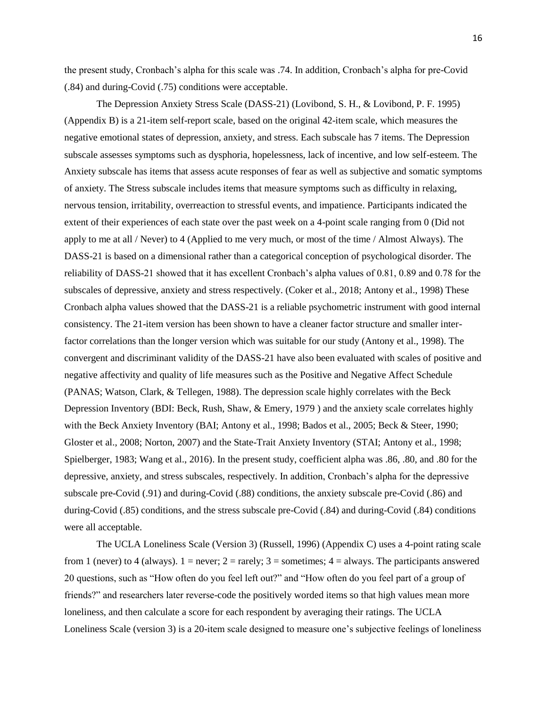the present study, Cronbach's alpha for this scale was .74. In addition, Cronbach's alpha for pre-Covid (.84) and during-Covid (.75) conditions were acceptable.

The Depression Anxiety Stress Scale (DASS-21) (Lovibond, S. H., & Lovibond, P. F. 1995) (Appendix B) is a 21-item self-report scale, based on the original 42-item scale, which measures the negative emotional states of depression, anxiety, and stress. Each subscale has 7 items. The Depression subscale assesses symptoms such as dysphoria, hopelessness, lack of incentive, and low self-esteem. The Anxiety subscale has items that assess acute responses of fear as well as subjective and somatic symptoms of anxiety. The Stress subscale includes items that measure symptoms such as difficulty in relaxing, nervous tension, irritability, overreaction to stressful events, and impatience. Participants indicated the extent of their experiences of each state over the past week on a 4-point scale ranging from 0 (Did not apply to me at all / Never) to 4 (Applied to me very much, or most of the time / Almost Always). The DASS-21 is based on a dimensional rather than a categorical conception of psychological disorder. The reliability of DASS-21 showed that it has excellent Cronbach's alpha values of 0.81, 0.89 and 0.78 for the subscales of depressive, anxiety and stress respectively. (Coker et al., 2018; Antony et al., 1998) These Cronbach alpha values showed that the DASS-21 is a reliable psychometric instrument with good internal consistency. The 21-item version has been shown to have a cleaner factor structure and smaller interfactor correlations than the longer version which was suitable for our study (Antony et al., 1998). The convergent and discriminant validity of the DASS-21 have also been evaluated with scales of positive and negative affectivity and quality of life measures such as the Positive and Negative Affect Schedule (PANAS; Watson, Clark, & Tellegen, 1988). The depression scale highly correlates with the Beck Depression Inventory (BDI: Beck, Rush, Shaw, & Emery, 1979 ) and the anxiety scale correlates highly with the Beck Anxiety Inventory (BAI; Antony et al., 1998; Bados et al., 2005; Beck & Steer, 1990; Gloster et al., 2008; Norton, 2007) and the State-Trait Anxiety Inventory (STAI; Antony et al., 1998; Spielberger, 1983; Wang et al., 2016). In the present study, coefficient alpha was .86, .80, and .80 for the depressive, anxiety, and stress subscales, respectively. In addition, Cronbach's alpha for the depressive subscale pre-Covid (.91) and during-Covid (.88) conditions, the anxiety subscale pre-Covid (.86) and during-Covid (.85) conditions, and the stress subscale pre-Covid (.84) and during-Covid (.84) conditions were all acceptable.

The UCLA Loneliness Scale (Version 3) (Russell, 1996) (Appendix C) uses a 4-point rating scale from 1 (never) to 4 (always).  $1 =$  never;  $2 =$  rarely;  $3 =$  sometimes;  $4 =$  always. The participants answered 20 questions, such as "How often do you feel left out?" and "How often do you feel part of a group of friends?" and researchers later reverse-code the positively worded items so that high values mean more loneliness, and then calculate a score for each respondent by averaging their ratings. The UCLA Loneliness Scale (version 3) is a 20-item scale designed to measure one's subjective feelings of loneliness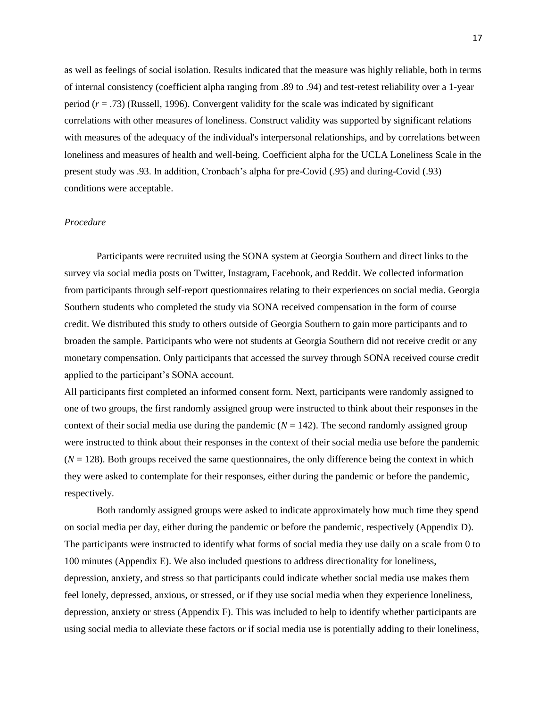as well as feelings of social isolation. Results indicated that the measure was highly reliable, both in terms of internal consistency (coefficient alpha ranging from .89 to .94) and test-retest reliability over a 1-year period  $(r = .73)$  (Russell, 1996). Convergent validity for the scale was indicated by significant correlations with other measures of loneliness. Construct validity was supported by significant relations with measures of the adequacy of the individual's interpersonal relationships, and by correlations between loneliness and measures of health and well-being. Coefficient alpha for the UCLA Loneliness Scale in the present study was .93. In addition, Cronbach's alpha for pre-Covid (.95) and during-Covid (.93) conditions were acceptable.

#### *Procedure*

Participants were recruited using the SONA system at Georgia Southern and direct links to the survey via social media posts on Twitter, Instagram, Facebook, and Reddit. We collected information from participants through self-report questionnaires relating to their experiences on social media. Georgia Southern students who completed the study via SONA received compensation in the form of course credit. We distributed this study to others outside of Georgia Southern to gain more participants and to broaden the sample. Participants who were not students at Georgia Southern did not receive credit or any monetary compensation. Only participants that accessed the survey through SONA received course credit applied to the participant's SONA account.

All participants first completed an informed consent form. Next, participants were randomly assigned to one of two groups, the first randomly assigned group were instructed to think about their responses in the context of their social media use during the pandemic  $(N = 142)$ . The second randomly assigned group were instructed to think about their responses in the context of their social media use before the pandemic  $(N = 128)$ . Both groups received the same questionnaires, the only difference being the context in which they were asked to contemplate for their responses, either during the pandemic or before the pandemic, respectively.

Both randomly assigned groups were asked to indicate approximately how much time they spend on social media per day, either during the pandemic or before the pandemic, respectively (Appendix D). The participants were instructed to identify what forms of social media they use daily on a scale from 0 to 100 minutes (Appendix E). We also included questions to address directionality for loneliness, depression, anxiety, and stress so that participants could indicate whether social media use makes them feel lonely, depressed, anxious, or stressed, or if they use social media when they experience loneliness, depression, anxiety or stress (Appendix F). This was included to help to identify whether participants are using social media to alleviate these factors or if social media use is potentially adding to their loneliness,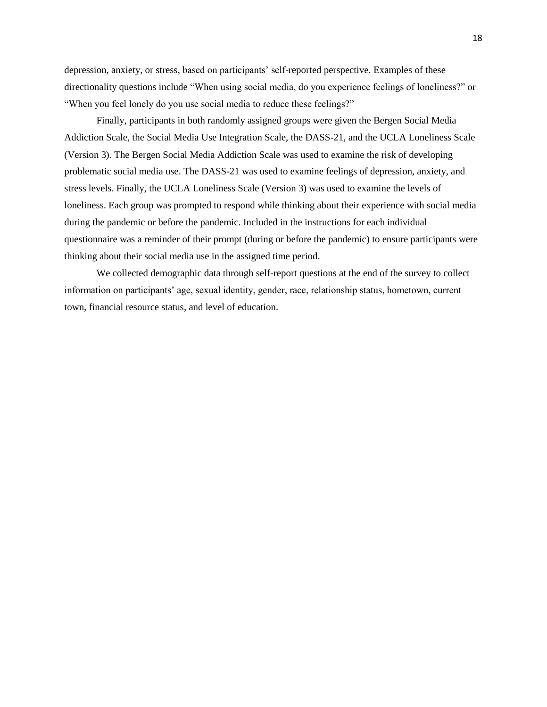depression, anxiety, or stress, based on participants' self-reported perspective. Examples of these directionality questions include "When using social media, do you experience feelings of loneliness?" or "When you feel lonely do you use social media to reduce these feelings?"

Finally, participants in both randomly assigned groups were given the Bergen Social Media Addiction Scale, the Social Media Use Integration Scale, the DASS-21, and the UCLA Loneliness Scale (Version 3). The Bergen Social Media Addiction Scale was used to examine the risk of developing problematic social media use. The DASS-21 was used to examine feelings of depression, anxiety, and stress levels. Finally, the UCLA Loneliness Scale (Version 3) was used to examine the levels of loneliness. Each group was prompted to respond while thinking about their experience with social media during the pandemic or before the pandemic. Included in the instructions for each individual questionnaire was a reminder of their prompt (during or before the pandemic) to ensure participants were thinking about their social media use in the assigned time period.

We collected demographic data through self-report questions at the end of the survey to collect information on participants' age, sexual identity, gender, race, relationship status, hometown, current town, financial resource status, and level of education.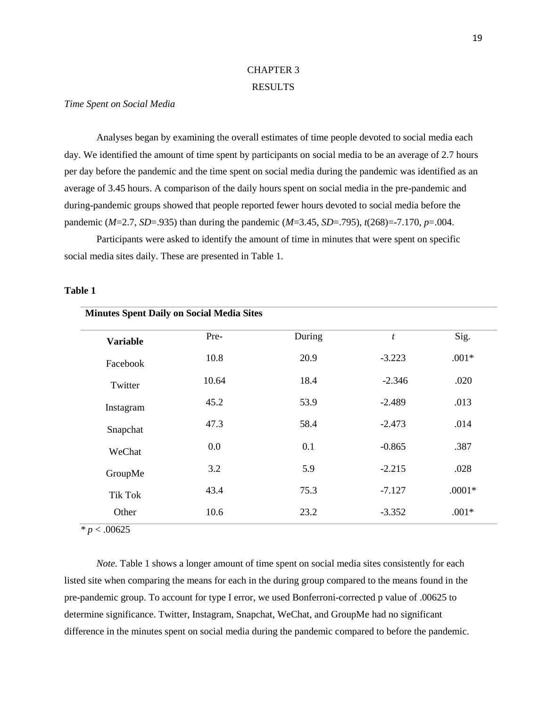#### CHAPTER 3

#### RESULTS

#### *Time Spent on Social Media*

Analyses began by examining the overall estimates of time people devoted to social media each day. We identified the amount of time spent by participants on social media to be an average of 2.7 hours per day before the pandemic and the time spent on social media during the pandemic was identified as an average of 3.45 hours. A comparison of the daily hours spent on social media in the pre-pandemic and during-pandemic groups showed that people reported fewer hours devoted to social media before the pandemic (*M*=2.7, *SD*=.935) than during the pandemic (*M*=3.45, *SD*=.795), *t*(268)=-7.170, *p*=.004.

Participants were asked to identify the amount of time in minutes that were spent on specific social media sites daily. These are presented in Table 1.

#### **Table 1**

| <b>Minutes Spent Daily on Social Media Sites</b> |       |        |                  |          |
|--------------------------------------------------|-------|--------|------------------|----------|
| <b>Variable</b>                                  | Pre-  | During | $\boldsymbol{t}$ | Sig.     |
| Facebook                                         | 10.8  | 20.9   | $-3.223$         | $.001*$  |
| Twitter                                          | 10.64 | 18.4   | $-2.346$         | .020     |
| Instagram                                        | 45.2  | 53.9   | $-2.489$         | .013     |
| Snapchat                                         | 47.3  | 58.4   | $-2.473$         | .014     |
| WeChat                                           | 0.0   | 0.1    | $-0.865$         | .387     |
| GroupMe                                          | 3.2   | 5.9    | $-2.215$         | .028     |
| <b>Tik Tok</b>                                   | 43.4  | 75.3   | $-7.127$         | $.0001*$ |
| Other                                            | 10.6  | 23.2   | $-3.352$         | $.001*$  |

*\* p* < .00625

*Note*. Table 1 shows a longer amount of time spent on social media sites consistently for each listed site when comparing the means for each in the during group compared to the means found in the pre-pandemic group. To account for type I error, we used Bonferroni-corrected p value of .00625 to determine significance. Twitter, Instagram, Snapchat, WeChat, and GroupMe had no significant difference in the minutes spent on social media during the pandemic compared to before the pandemic.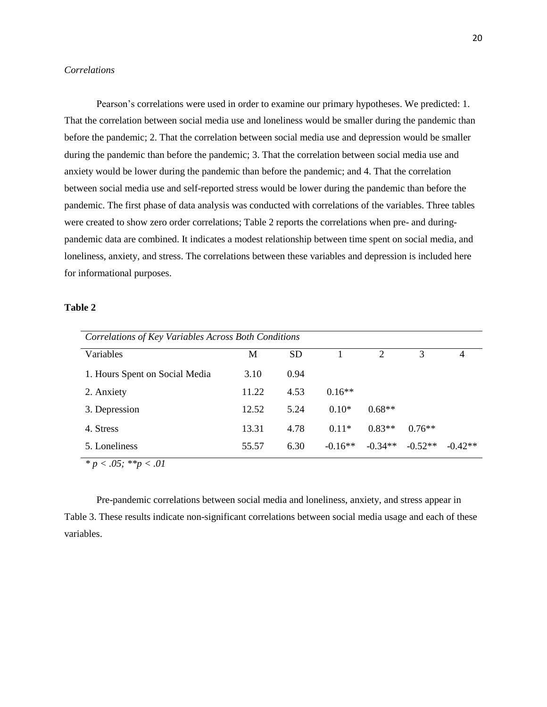#### *Correlations*

Pearson's correlations were used in order to examine our primary hypotheses. We predicted: 1. That the correlation between social media use and loneliness would be smaller during the pandemic than before the pandemic; 2. That the correlation between social media use and depression would be smaller during the pandemic than before the pandemic; 3. That the correlation between social media use and anxiety would be lower during the pandemic than before the pandemic; and 4. That the correlation between social media use and self-reported stress would be lower during the pandemic than before the pandemic. The first phase of data analysis was conducted with correlations of the variables. Three tables were created to show zero order correlations; Table 2 reports the correlations when pre- and duringpandemic data are combined. It indicates a modest relationship between time spent on social media, and loneliness, anxiety, and stress. The correlations between these variables and depression is included here for informational purposes.

#### **Table 2**

| Correlations of Key Variables Across Both Conditions |       |           |           |           |           |                |  |  |  |
|------------------------------------------------------|-------|-----------|-----------|-----------|-----------|----------------|--|--|--|
| Variables                                            | М     | <b>SD</b> |           | 2         | 3         | $\overline{4}$ |  |  |  |
| 1. Hours Spent on Social Media                       | 3.10  | 0.94      |           |           |           |                |  |  |  |
| 2. Anxiety                                           | 11.22 | 4.53      | $0.16**$  |           |           |                |  |  |  |
| 3. Depression                                        | 12.52 | 5.24      | $0.10*$   | $0.68**$  |           |                |  |  |  |
| 4. Stress                                            | 13.31 | 4.78      | $0.11*$   | $0.83**$  | $0.76**$  |                |  |  |  |
| 5. Loneliness                                        | 55.57 | 6.30      | $-0.16**$ | $-0.34**$ | $-0.52**$ | $-0.42**$      |  |  |  |
| $\star = \sqrt{15}$ , $\star \star = \sqrt{11}$      |       |           |           |           |           |                |  |  |  |

*\* p < .05; \*\*p < .01*

Pre-pandemic correlations between social media and loneliness, anxiety, and stress appear in Table 3. These results indicate non-significant correlations between social media usage and each of these variables.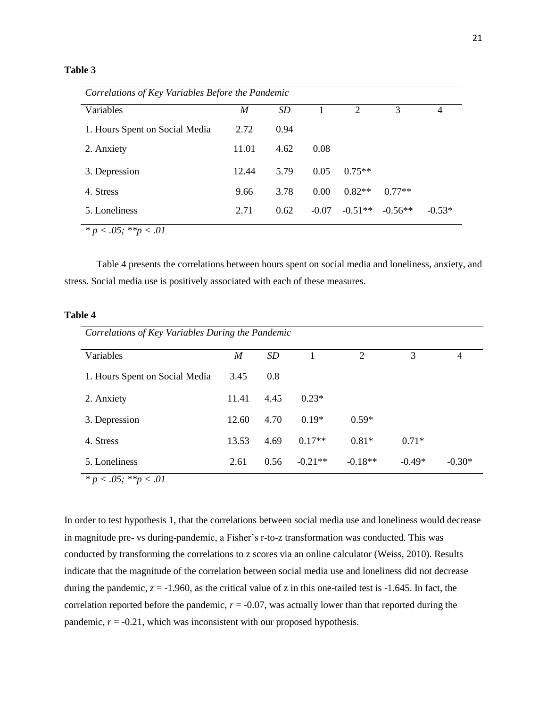#### **Table 3**

| Correlations of Key Variables Before the Pandemic |       |      |         |           |           |                |  |  |  |
|---------------------------------------------------|-------|------|---------|-----------|-----------|----------------|--|--|--|
| Variables                                         | M     | SD   |         | 2         | 3         | $\overline{4}$ |  |  |  |
| 1. Hours Spent on Social Media                    | 2.72  | 0.94 |         |           |           |                |  |  |  |
| 2. Anxiety                                        | 11.01 | 4.62 | 0.08    |           |           |                |  |  |  |
| 3. Depression                                     | 12.44 | 5.79 | 0.05    | $0.75**$  |           |                |  |  |  |
| 4. Stress                                         | 9.66  | 3.78 | 0.00    | $0.82**$  | $0.77**$  |                |  |  |  |
| 5. Loneliness                                     | 2.71  | 0.62 | $-0.07$ | $-0.51**$ | $-0.56**$ | $-0.53*$       |  |  |  |
| $*_{\rm B}$ / 05. **n / 01                        |       |      |         |           |           |                |  |  |  |

 $p < .05$ ; \*\*p  $< .01$ 

Table 4 presents the correlations between hours spent on social media and loneliness, anxiety, and stress. Social media use is positively associated with each of these measures.

#### **Table 4**

| Correlations of Key Variables During the Pandemic |       |      |           |                |          |          |  |  |  |
|---------------------------------------------------|-------|------|-----------|----------------|----------|----------|--|--|--|
| Variables                                         | M     | SD   |           | $\overline{2}$ | 3        | 4        |  |  |  |
| 1. Hours Spent on Social Media                    | 3.45  | 0.8  |           |                |          |          |  |  |  |
| 2. Anxiety                                        | 11.41 | 4.45 | $0.23*$   |                |          |          |  |  |  |
| 3. Depression                                     | 12.60 | 4.70 | $0.19*$   | $0.59*$        |          |          |  |  |  |
| 4. Stress                                         | 13.53 | 4.69 | $0.17**$  | $0.81*$        | $0.71*$  |          |  |  |  |
| 5. Loneliness                                     | 2.61  | 0.56 | $-0.21**$ | $-0.18**$      | $-0.49*$ | $-0.30*$ |  |  |  |

*\* p < .05; \*\*p < .01*

In order to test hypothesis 1, that the correlations between social media use and loneliness would decrease in magnitude pre- vs during-pandemic, a Fisher's r-to-z transformation was conducted. This was conducted by transforming the correlations to z scores via an online calculator (Weiss, 2010). Results indicate that the magnitude of the correlation between social media use and loneliness did not decrease during the pandemic,  $z = -1.960$ , as the critical value of z in this one-tailed test is  $-1.645$ . In fact, the correlation reported before the pandemic,  $r = -0.07$ , was actually lower than that reported during the pandemic,  $r = -0.21$ , which was inconsistent with our proposed hypothesis.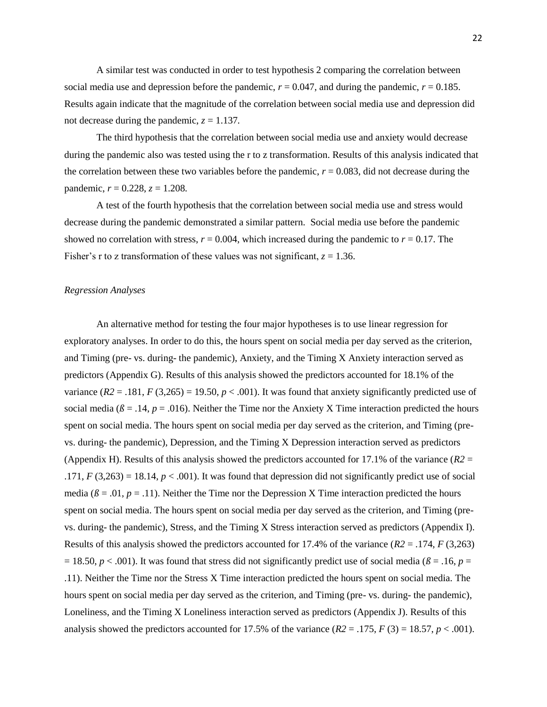A similar test was conducted in order to test hypothesis 2 comparing the correlation between social media use and depression before the pandemic,  $r = 0.047$ , and during the pandemic,  $r = 0.185$ . Results again indicate that the magnitude of the correlation between social media use and depression did not decrease during the pandemic,  $z = 1.137$ .

The third hypothesis that the correlation between social media use and anxiety would decrease during the pandemic also was tested using the r to z transformation. Results of this analysis indicated that the correlation between these two variables before the pandemic,  $r = 0.083$ , did not decrease during the pandemic,  $r = 0.228$ ,  $z = 1.208$ .

A test of the fourth hypothesis that the correlation between social media use and stress would decrease during the pandemic demonstrated a similar pattern. Social media use before the pandemic showed no correlation with stress,  $r = 0.004$ , which increased during the pandemic to  $r = 0.17$ . The Fisher's r to z transformation of these values was not significant,  $z = 1.36$ .

#### *Regression Analyses*

An alternative method for testing the four major hypotheses is to use linear regression for exploratory analyses. In order to do this, the hours spent on social media per day served as the criterion, and Timing (pre- vs. during- the pandemic), Anxiety, and the Timing X Anxiety interaction served as predictors (Appendix G). Results of this analysis showed the predictors accounted for 18.1% of the variance  $(R2 = .181, F(3,265) = 19.50, p < .001)$ . It was found that anxiety significantly predicted use of social media ( $\beta$  = .14,  $p$  = .016). Neither the Time nor the Anxiety X Time interaction predicted the hours spent on social media. The hours spent on social media per day served as the criterion, and Timing (prevs. during- the pandemic), Depression, and the Timing X Depression interaction served as predictors (Appendix H). Results of this analysis showed the predictors accounted for 17.1% of the variance  $(R2 =$ .171,  $F(3,263) = 18.14$ ,  $p < .001$ ). It was found that depression did not significantly predict use of social media ( $\beta$  = .01,  $p$  = .11). Neither the Time nor the Depression X Time interaction predicted the hours spent on social media. The hours spent on social media per day served as the criterion, and Timing (prevs. during- the pandemic), Stress, and the Timing X Stress interaction served as predictors (Appendix I). Results of this analysis showed the predictors accounted for 17.4% of the variance  $(R2 = .174, F(3,263))$  $= 18.50, p < .001$ ). It was found that stress did not significantly predict use of social media ( $\beta = .16, p =$ .11). Neither the Time nor the Stress X Time interaction predicted the hours spent on social media. The hours spent on social media per day served as the criterion, and Timing (pre- vs. during- the pandemic), Loneliness, and the Timing X Loneliness interaction served as predictors (Appendix J). Results of this analysis showed the predictors accounted for 17.5% of the variance  $(R2 = .175, F(3) = 18.57, p < .001)$ .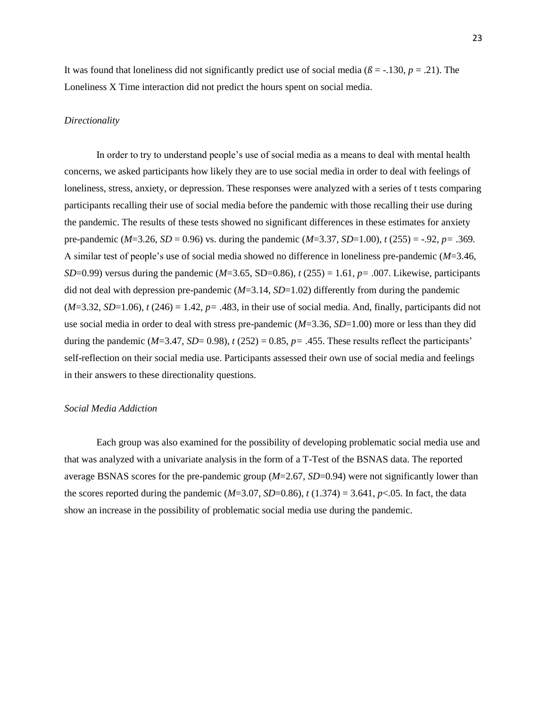It was found that loneliness did not significantly predict use of social media ( $\beta$  = -.130, *p* = .21). The Loneliness X Time interaction did not predict the hours spent on social media.

#### *Directionality*

In order to try to understand people's use of social media as a means to deal with mental health concerns, we asked participants how likely they are to use social media in order to deal with feelings of loneliness, stress, anxiety, or depression. These responses were analyzed with a series of t tests comparing participants recalling their use of social media before the pandemic with those recalling their use during the pandemic. The results of these tests showed no significant differences in these estimates for anxiety pre-pandemic (*M*=3.26, *SD* = 0.96) vs. during the pandemic (*M*=3.37, *SD*=1.00), *t* (255) = -.92, *p=* .369*.* A similar test of people's use of social media showed no difference in loneliness pre-pandemic (*M*=3.46, *SD*=0.99) versus during the pandemic (*M*=3.65, SD=0.86), *t* (255) = 1.61, *p=* .007. Likewise, participants did not deal with depression pre-pandemic (*M*=3.14, *SD*=1.02) differently from during the pandemic  $(M=3.32, SD=1.06)$ ,  $t(246) = 1.42$ ,  $p = .483$ , in their use of social media. And, finally, participants did not use social media in order to deal with stress pre-pandemic (*M*=3.36, *SD*=1.00) more or less than they did during the pandemic ( $M=3.47$ ,  $SD=$  0.98),  $t$  (252) = 0.85,  $p=$  .455. These results reflect the participants' self-reflection on their social media use. Participants assessed their own use of social media and feelings in their answers to these directionality questions.

#### *Social Media Addiction*

Each group was also examined for the possibility of developing problematic social media use and that was analyzed with a univariate analysis in the form of a T-Test of the BSNAS data. The reported average BSNAS scores for the pre-pandemic group (*M*=2.67, *SD*=0.94) were not significantly lower than the scores reported during the pandemic ( $M=3.07$ ,  $SD=0.86$ ),  $t(1.374) = 3.641$ ,  $p<0.05$ . In fact, the data show an increase in the possibility of problematic social media use during the pandemic.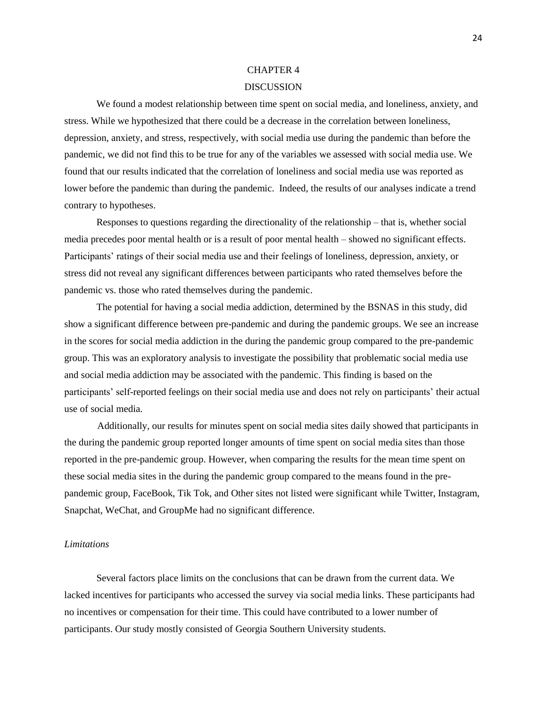#### CHAPTER 4

#### DISCUSSION

We found a modest relationship between time spent on social media, and loneliness, anxiety, and stress. While we hypothesized that there could be a decrease in the correlation between loneliness, depression, anxiety, and stress, respectively, with social media use during the pandemic than before the pandemic, we did not find this to be true for any of the variables we assessed with social media use. We found that our results indicated that the correlation of loneliness and social media use was reported as lower before the pandemic than during the pandemic. Indeed, the results of our analyses indicate a trend contrary to hypotheses.

Responses to questions regarding the directionality of the relationship – that is, whether social media precedes poor mental health or is a result of poor mental health – showed no significant effects. Participants' ratings of their social media use and their feelings of loneliness, depression, anxiety, or stress did not reveal any significant differences between participants who rated themselves before the pandemic vs. those who rated themselves during the pandemic.

The potential for having a social media addiction, determined by the BSNAS in this study, did show a significant difference between pre-pandemic and during the pandemic groups. We see an increase in the scores for social media addiction in the during the pandemic group compared to the pre-pandemic group. This was an exploratory analysis to investigate the possibility that problematic social media use and social media addiction may be associated with the pandemic. This finding is based on the participants' self-reported feelings on their social media use and does not rely on participants' their actual use of social media.

 Additionally, our results for minutes spent on social media sites daily showed that participants in the during the pandemic group reported longer amounts of time spent on social media sites than those reported in the pre-pandemic group. However, when comparing the results for the mean time spent on these social media sites in the during the pandemic group compared to the means found in the prepandemic group, FaceBook, Tik Tok, and Other sites not listed were significant while Twitter, Instagram, Snapchat, WeChat, and GroupMe had no significant difference.

#### *Limitations*

Several factors place limits on the conclusions that can be drawn from the current data. We lacked incentives for participants who accessed the survey via social media links. These participants had no incentives or compensation for their time. This could have contributed to a lower number of participants. Our study mostly consisted of Georgia Southern University students.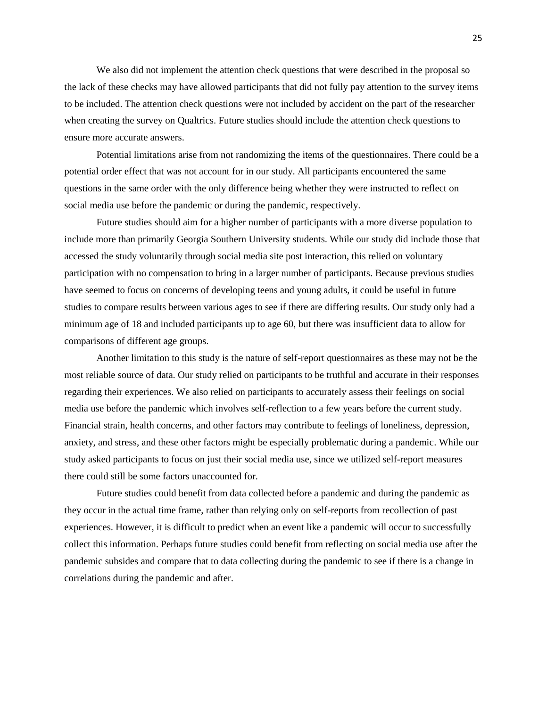We also did not implement the attention check questions that were described in the proposal so the lack of these checks may have allowed participants that did not fully pay attention to the survey items to be included. The attention check questions were not included by accident on the part of the researcher when creating the survey on Qualtrics. Future studies should include the attention check questions to ensure more accurate answers.

Potential limitations arise from not randomizing the items of the questionnaires. There could be a potential order effect that was not account for in our study. All participants encountered the same questions in the same order with the only difference being whether they were instructed to reflect on social media use before the pandemic or during the pandemic, respectively.

Future studies should aim for a higher number of participants with a more diverse population to include more than primarily Georgia Southern University students. While our study did include those that accessed the study voluntarily through social media site post interaction, this relied on voluntary participation with no compensation to bring in a larger number of participants. Because previous studies have seemed to focus on concerns of developing teens and young adults, it could be useful in future studies to compare results between various ages to see if there are differing results. Our study only had a minimum age of 18 and included participants up to age 60, but there was insufficient data to allow for comparisons of different age groups.

Another limitation to this study is the nature of self-report questionnaires as these may not be the most reliable source of data. Our study relied on participants to be truthful and accurate in their responses regarding their experiences. We also relied on participants to accurately assess their feelings on social media use before the pandemic which involves self-reflection to a few years before the current study. Financial strain, health concerns, and other factors may contribute to feelings of loneliness, depression, anxiety, and stress, and these other factors might be especially problematic during a pandemic. While our study asked participants to focus on just their social media use, since we utilized self-report measures there could still be some factors unaccounted for.

Future studies could benefit from data collected before a pandemic and during the pandemic as they occur in the actual time frame, rather than relying only on self-reports from recollection of past experiences. However, it is difficult to predict when an event like a pandemic will occur to successfully collect this information. Perhaps future studies could benefit from reflecting on social media use after the pandemic subsides and compare that to data collecting during the pandemic to see if there is a change in correlations during the pandemic and after.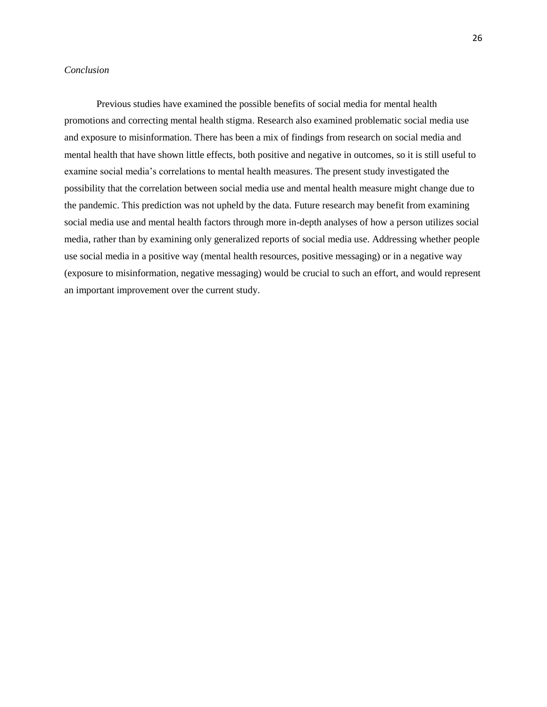#### *Conclusion*

Previous studies have examined the possible benefits of social media for mental health promotions and correcting mental health stigma. Research also examined problematic social media use and exposure to misinformation. There has been a mix of findings from research on social media and mental health that have shown little effects, both positive and negative in outcomes, so it is still useful to examine social media's correlations to mental health measures. The present study investigated the possibility that the correlation between social media use and mental health measure might change due to the pandemic. This prediction was not upheld by the data. Future research may benefit from examining social media use and mental health factors through more in-depth analyses of how a person utilizes social media, rather than by examining only generalized reports of social media use. Addressing whether people use social media in a positive way (mental health resources, positive messaging) or in a negative way (exposure to misinformation, negative messaging) would be crucial to such an effort, and would represent an important improvement over the current study.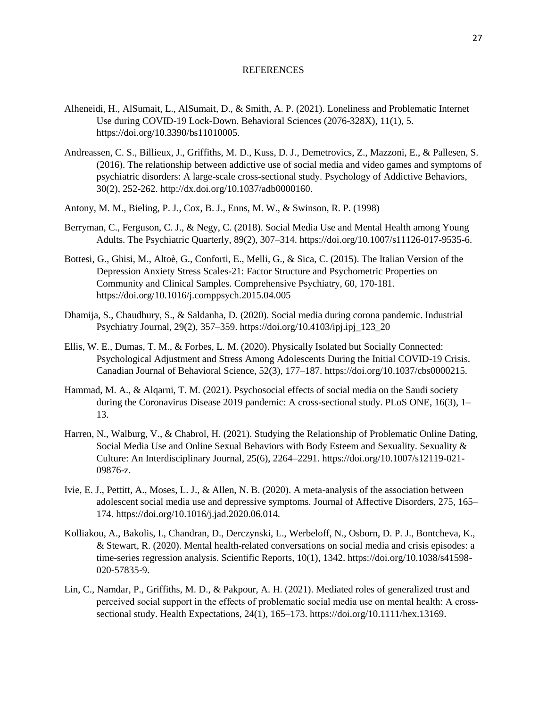#### **REFERENCES**

- Alheneidi, H., AlSumait, L., AlSumait, D., & Smith, A. P. (2021). Loneliness and Problematic Internet Use during COVID-19 Lock-Down. Behavioral Sciences (2076-328X), 11(1), 5. https://doi.org/10.3390/bs11010005.
- Andreassen, C. S., Billieux, J., Griffiths, M. D., Kuss, D. J., Demetrovics, Z., Mazzoni, E., & Pallesen, S. (2016). The relationship between addictive use of social media and video games and symptoms of psychiatric disorders: A large-scale cross-sectional study. Psychology of Addictive Behaviors, 30(2), 252-262. http://dx.doi.org/10.1037/adb0000160.
- Antony, M. M., Bieling, P. J., Cox, B. J., Enns, M. W., & Swinson, R. P. (1998)
- Berryman, C., Ferguson, C. J., & Negy, C. (2018). Social Media Use and Mental Health among Young Adults. The Psychiatric Quarterly, 89(2), 307–314. https://doi.org/10.1007/s11126-017-9535-6.
- Bottesi, G., Ghisi, M., Altoè, G., Conforti, E., Melli, G., & Sica, C. (2015). The Italian Version of the Depression Anxiety Stress Scales-21: Factor Structure and Psychometric Properties on Community and Clinical Samples. Comprehensive Psychiatry, 60, 170-181. https://doi.org/10.1016/j.comppsych.2015.04.005
- Dhamija, S., Chaudhury, S., & Saldanha, D. (2020). Social media during corona pandemic. Industrial Psychiatry Journal, 29(2), 357–359. https://doi.org/10.4103/ipj.ipj\_123\_20
- Ellis, W. E., Dumas, T. M., & Forbes, L. M. (2020). Physically Isolated but Socially Connected: Psychological Adjustment and Stress Among Adolescents During the Initial COVID-19 Crisis. Canadian Journal of Behavioral Science, 52(3), 177–187. https://doi.org/10.1037/cbs0000215.
- Hammad, M. A., & Alqarni, T. M. (2021). Psychosocial effects of social media on the Saudi society during the Coronavirus Disease 2019 pandemic: A cross-sectional study. PLoS ONE, 16(3), 1– 13.
- Harren, N., Walburg, V., & Chabrol, H. (2021). Studying the Relationship of Problematic Online Dating, Social Media Use and Online Sexual Behaviors with Body Esteem and Sexuality. Sexuality & Culture: An Interdisciplinary Journal, 25(6), 2264–2291. https://doi.org/10.1007/s12119-021- 09876-z.
- Ivie, E. J., Pettitt, A., Moses, L. J., & Allen, N. B. (2020). A meta-analysis of the association between adolescent social media use and depressive symptoms. Journal of Affective Disorders, 275, 165– 174. https://doi.org/10.1016/j.jad.2020.06.014.
- Kolliakou, A., Bakolis, I., Chandran, D., Derczynski, L., Werbeloff, N., Osborn, D. P. J., Bontcheva, K., & Stewart, R. (2020). Mental health-related conversations on social media and crisis episodes: a time-series regression analysis. Scientific Reports, 10(1), 1342. https://doi.org/10.1038/s41598- 020-57835-9.
- Lin, C., Namdar, P., Griffiths, M. D., & Pakpour, A. H. (2021). Mediated roles of generalized trust and perceived social support in the effects of problematic social media use on mental health: A crosssectional study. Health Expectations, 24(1), 165–173. https://doi.org/10.1111/hex.13169.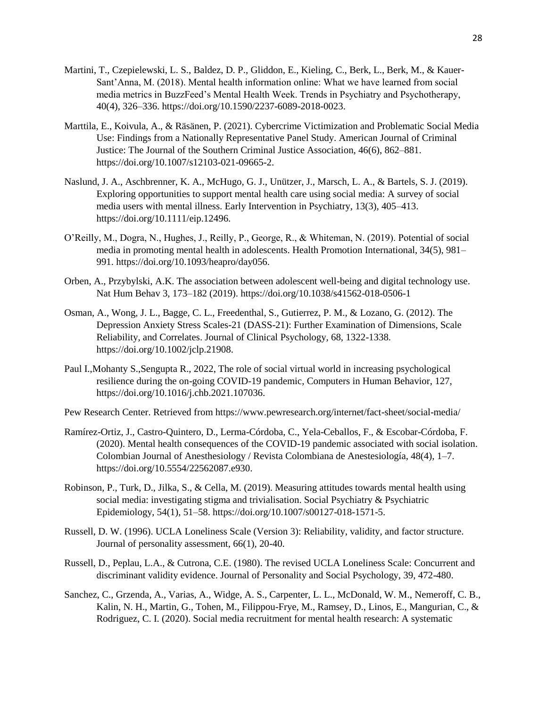- Martini, T., Czepielewski, L. S., Baldez, D. P., Gliddon, E., Kieling, C., Berk, L., Berk, M., & Kauer-Sant'Anna, M. (2018). Mental health information online: What we have learned from social media metrics in BuzzFeed's Mental Health Week. Trends in Psychiatry and Psychotherapy, 40(4), 326–336. https://doi.org/10.1590/2237-6089-2018-0023.
- Marttila, E., Koivula, A., & Räsänen, P. (2021). Cybercrime Victimization and Problematic Social Media Use: Findings from a Nationally Representative Panel Study. American Journal of Criminal Justice: The Journal of the Southern Criminal Justice Association, 46(6), 862–881. https://doi.org/10.1007/s12103-021-09665-2.
- Naslund, J. A., Aschbrenner, K. A., McHugo, G. J., Unützer, J., Marsch, L. A., & Bartels, S. J. (2019). Exploring opportunities to support mental health care using social media: A survey of social media users with mental illness. Early Intervention in Psychiatry, 13(3), 405–413. https://doi.org/10.1111/eip.12496.
- O'Reilly, M., Dogra, N., Hughes, J., Reilly, P., George, R., & Whiteman, N. (2019). Potential of social media in promoting mental health in adolescents. Health Promotion International, 34(5), 981– 991. https://doi.org/10.1093/heapro/day056.
- Orben, A., Przybylski, A.K. The association between adolescent well-being and digital technology use. Nat Hum Behav 3, 173–182 (2019). https://doi.org/10.1038/s41562-018-0506-1
- Osman, A., Wong, J. L., Bagge, C. L., Freedenthal, S., Gutierrez, P. M., & Lozano, G. (2012). The Depression Anxiety Stress Scales-21 (DASS-21): Further Examination of Dimensions, Scale Reliability, and Correlates. Journal of Clinical Psychology, 68, 1322-1338. https://doi.org/10.1002/jclp.21908.
- Paul I.,Mohanty S.,Sengupta R., 2022, The role of social virtual world in increasing psychological resilience during the on-going COVID-19 pandemic, Computers in Human Behavior, 127, https://doi.org/10.1016/j.chb.2021.107036.
- Pew Research Center. Retrieved from https://www.pewresearch.org/internet/fact-sheet/social-media/
- Ramírez-Ortiz, J., Castro-Quintero, D., Lerma-Córdoba, C., Yela-Ceballos, F., & Escobar-Córdoba, F. (2020). Mental health consequences of the COVID-19 pandemic associated with social isolation. Colombian Journal of Anesthesiology / Revista Colombiana de Anestesiología, 48(4), 1–7. https://doi.org/10.5554/22562087.e930.
- Robinson, P., Turk, D., Jilka, S., & Cella, M. (2019). Measuring attitudes towards mental health using social media: investigating stigma and trivialisation. Social Psychiatry & Psychiatric Epidemiology, 54(1), 51–58. https://doi.org/10.1007/s00127-018-1571-5.
- Russell, D. W. (1996). UCLA Loneliness Scale (Version 3): Reliability, validity, and factor structure. Journal of personality assessment, 66(1), 20-40.
- Russell, D., Peplau, L.A., & Cutrona, C.E. (1980). The revised UCLA Loneliness Scale: Concurrent and discriminant validity evidence. Journal of Personality and Social Psychology, 39, 472-480.
- Sanchez, C., Grzenda, A., Varias, A., Widge, A. S., Carpenter, L. L., McDonald, W. M., Nemeroff, C. B., Kalin, N. H., Martin, G., Tohen, M., Filippou-Frye, M., Ramsey, D., Linos, E., Mangurian, C., & Rodriguez, C. I. (2020). Social media recruitment for mental health research: A systematic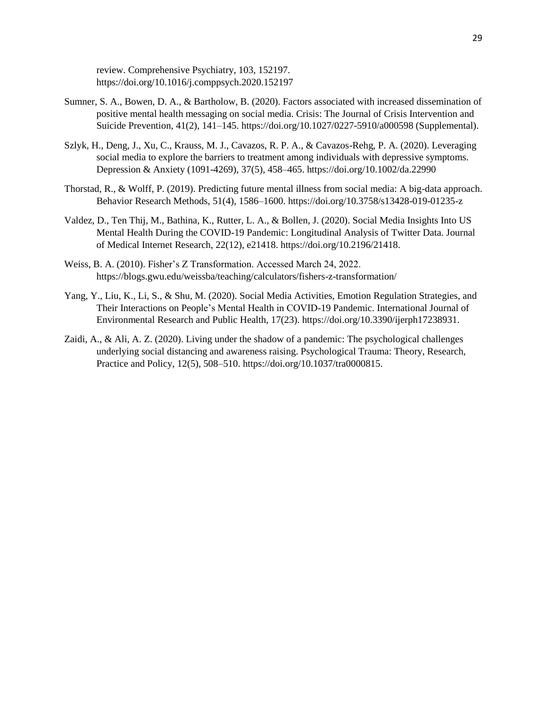review. Comprehensive Psychiatry, 103, 152197. https://doi.org/10.1016/j.comppsych.2020.152197

- Sumner, S. A., Bowen, D. A., & Bartholow, B. (2020). Factors associated with increased dissemination of positive mental health messaging on social media. Crisis: The Journal of Crisis Intervention and Suicide Prevention, 41(2), 141–145. https://doi.org/10.1027/0227-5910/a000598 (Supplemental).
- Szlyk, H., Deng, J., Xu, C., Krauss, M. J., Cavazos, R. P. A., & Cavazos-Rehg, P. A. (2020). Leveraging social media to explore the barriers to treatment among individuals with depressive symptoms. Depression & Anxiety (1091-4269), 37(5), 458–465. https://doi.org/10.1002/da.22990
- Thorstad, R., & Wolff, P. (2019). Predicting future mental illness from social media: A big-data approach. Behavior Research Methods, 51(4), 1586–1600. https://doi.org/10.3758/s13428-019-01235-z
- Valdez, D., Ten Thij, M., Bathina, K., Rutter, L. A., & Bollen, J. (2020). Social Media Insights Into US Mental Health During the COVID-19 Pandemic: Longitudinal Analysis of Twitter Data. Journal of Medical Internet Research, 22(12), e21418. https://doi.org/10.2196/21418.
- Weiss, B. A. (2010). Fisher's Z Transformation. Accessed March 24, 2022. https://blogs.gwu.edu/weissba/teaching/calculators/fishers-z-transformation/
- Yang, Y., Liu, K., Li, S., & Shu, M. (2020). Social Media Activities, Emotion Regulation Strategies, and Their Interactions on People's Mental Health in COVID-19 Pandemic. International Journal of Environmental Research and Public Health, 17(23). https://doi.org/10.3390/ijerph17238931.
- Zaidi, A., & Ali, A. Z. (2020). Living under the shadow of a pandemic: The psychological challenges underlying social distancing and awareness raising. Psychological Trauma: Theory, Research, Practice and Policy, 12(5), 508–510. https://doi.org/10.1037/tra0000815.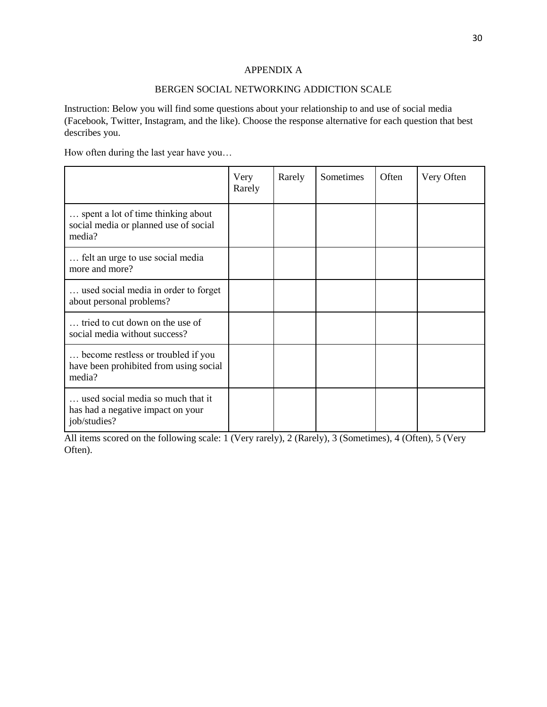### APPENDIX A

#### BERGEN SOCIAL NETWORKING ADDICTION SCALE

Instruction: Below you will find some questions about your relationship to and use of social media (Facebook, Twitter, Instagram, and the like). Choose the response alternative for each question that best describes you.

How often during the last year have you…

|                                                                                        | Very<br>Rarely | Rarely | Sometimes | Often | Very Often |
|----------------------------------------------------------------------------------------|----------------|--------|-----------|-------|------------|
| spent a lot of time thinking about<br>social media or planned use of social<br>media?  |                |        |           |       |            |
| felt an urge to use social media<br>more and more?                                     |                |        |           |       |            |
| used social media in order to forget<br>about personal problems?                       |                |        |           |       |            |
| tried to cut down on the use of<br>social media without success?                       |                |        |           |       |            |
| become restless or troubled if you<br>have been prohibited from using social<br>media? |                |        |           |       |            |
| used social media so much that it<br>has had a negative impact on your<br>job/studies? |                |        |           |       |            |

All items scored on the following scale: 1 (Very rarely), 2 (Rarely), 3 (Sometimes), 4 (Often), 5 (Very Often).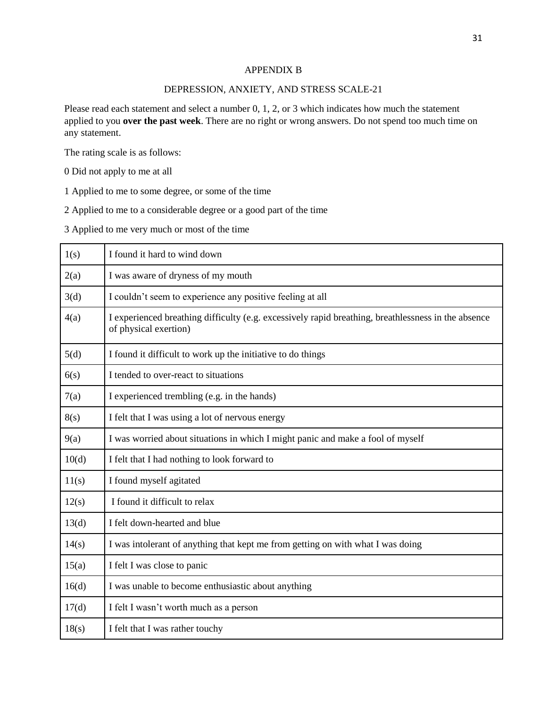#### APPENDIX B

#### DEPRESSION, ANXIETY, AND STRESS SCALE-21

Please read each statement and select a number 0, 1, 2, or 3 which indicates how much the statement applied to you **over the past week**. There are no right or wrong answers. Do not spend too much time on any statement.

The rating scale is as follows:

0 Did not apply to me at all

1 Applied to me to some degree, or some of the time

2 Applied to me to a considerable degree or a good part of the time

3 Applied to me very much or most of the time

| 1(s)  | I found it hard to wind down                                                                                                 |
|-------|------------------------------------------------------------------------------------------------------------------------------|
| 2(a)  | I was aware of dryness of my mouth                                                                                           |
| 3(d)  | I couldn't seem to experience any positive feeling at all                                                                    |
| 4(a)  | I experienced breathing difficulty (e.g. excessively rapid breathing, breathlessness in the absence<br>of physical exertion) |
| 5(d)  | I found it difficult to work up the initiative to do things                                                                  |
| 6(s)  | I tended to over-react to situations                                                                                         |
| 7(a)  | I experienced trembling (e.g. in the hands)                                                                                  |
| 8(s)  | I felt that I was using a lot of nervous energy                                                                              |
| 9(a)  | I was worried about situations in which I might panic and make a fool of myself                                              |
| 10(d) | I felt that I had nothing to look forward to                                                                                 |
| 11(s) | I found myself agitated                                                                                                      |
| 12(s) | I found it difficult to relax                                                                                                |
| 13(d) | I felt down-hearted and blue                                                                                                 |
| 14(s) | I was intolerant of anything that kept me from getting on with what I was doing                                              |
| 15(a) | I felt I was close to panic                                                                                                  |
| 16(d) | I was unable to become enthusiastic about anything                                                                           |
| 17(d) | I felt I wasn't worth much as a person                                                                                       |
| 18(s) | I felt that I was rather touchy                                                                                              |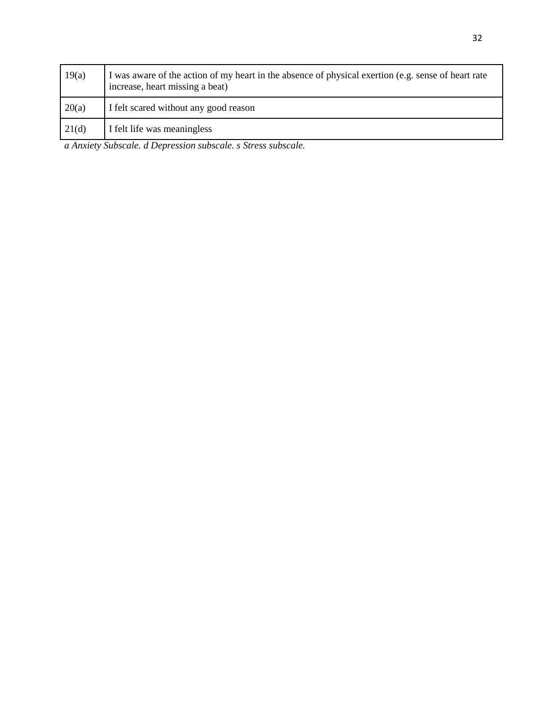| 19(a) | I was aware of the action of my heart in the absence of physical exertion (e.g. sense of heart rate<br>increase, heart missing a beat) |
|-------|----------------------------------------------------------------------------------------------------------------------------------------|
| 20(a) | I felt scared without any good reason                                                                                                  |
| 21(d) | I felt life was meaningless                                                                                                            |

*a Anxiety Subscale. d Depression subscale. s Stress subscale.*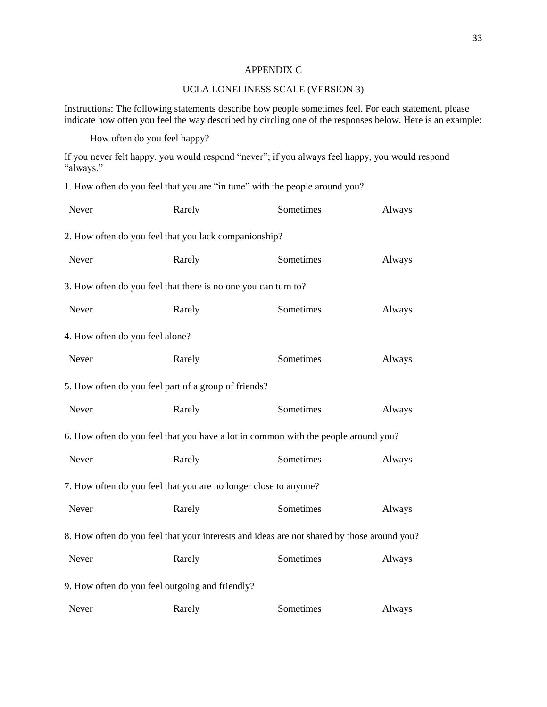#### APPENDIX C

#### UCLA LONELINESS SCALE (VERSION 3)

Instructions: The following statements describe how people sometimes feel. For each statement, please indicate how often you feel the way described by circling one of the responses below. Here is an example:

How often do you feel happy?

If you never felt happy, you would respond "never"; if you always feel happy, you would respond "always."

1. How often do you feel that you are "in tune" with the people around you?

| Never                           | Rarely                                                           | Sometimes                                                                                  | Always |  |  |  |  |
|---------------------------------|------------------------------------------------------------------|--------------------------------------------------------------------------------------------|--------|--|--|--|--|
|                                 | 2. How often do you feel that you lack companionship?            |                                                                                            |        |  |  |  |  |
| Never                           | Rarely                                                           | Always                                                                                     |        |  |  |  |  |
|                                 | 3. How often do you feel that there is no one you can turn to?   |                                                                                            |        |  |  |  |  |
| Never                           | Sometimes<br>Rarely                                              |                                                                                            |        |  |  |  |  |
| 4. How often do you feel alone? |                                                                  |                                                                                            |        |  |  |  |  |
| Never                           | Rarely                                                           | Sometimes                                                                                  | Always |  |  |  |  |
|                                 | 5. How often do you feel part of a group of friends?             |                                                                                            |        |  |  |  |  |
| Never                           | Rarely                                                           | Sometimes                                                                                  | Always |  |  |  |  |
|                                 |                                                                  | 6. How often do you feel that you have a lot in common with the people around you?         |        |  |  |  |  |
| Never                           | Rarely                                                           | Sometimes                                                                                  | Always |  |  |  |  |
|                                 | 7. How often do you feel that you are no longer close to anyone? |                                                                                            |        |  |  |  |  |
| Never                           | Rarely                                                           | Sometimes                                                                                  | Always |  |  |  |  |
|                                 |                                                                  | 8. How often do you feel that your interests and ideas are not shared by those around you? |        |  |  |  |  |
| Never                           | Rarely                                                           | Sometimes                                                                                  | Always |  |  |  |  |
|                                 | 9. How often do you feel outgoing and friendly?                  |                                                                                            |        |  |  |  |  |
| Never                           | Rarely                                                           | Sometimes                                                                                  | Always |  |  |  |  |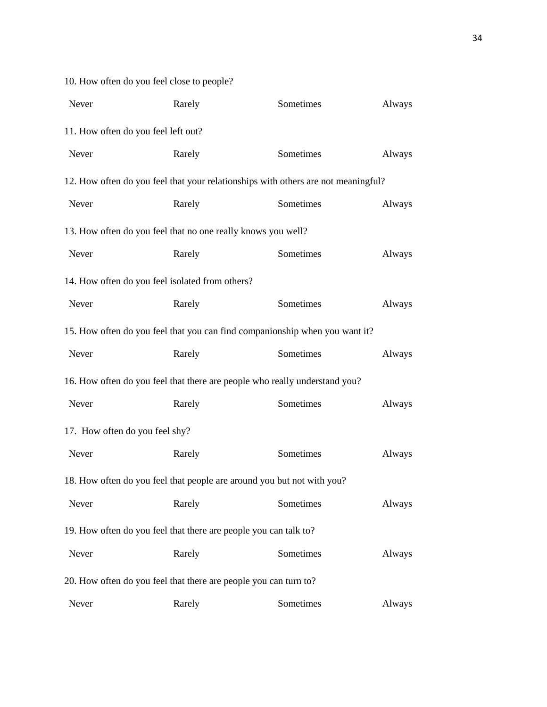| Never                               | Rarely                                                           | Sometimes                                                                         |        |  |  |  |
|-------------------------------------|------------------------------------------------------------------|-----------------------------------------------------------------------------------|--------|--|--|--|
| 11. How often do you feel left out? |                                                                  |                                                                                   |        |  |  |  |
| Never                               | Rarely                                                           | Sometimes                                                                         | Always |  |  |  |
|                                     |                                                                  | 12. How often do you feel that your relationships with others are not meaningful? |        |  |  |  |
| Never                               | Rarely                                                           | Sometimes                                                                         | Always |  |  |  |
|                                     | 13. How often do you feel that no one really knows you well?     |                                                                                   |        |  |  |  |
| Never                               | Rarely                                                           | Sometimes                                                                         | Always |  |  |  |
|                                     | 14. How often do you feel isolated from others?                  |                                                                                   |        |  |  |  |
| Never                               | Rarely                                                           | Sometimes                                                                         | Always |  |  |  |
|                                     |                                                                  | 15. How often do you feel that you can find companionship when you want it?       |        |  |  |  |
| Never                               | Rarely                                                           | Sometimes                                                                         | Always |  |  |  |
|                                     |                                                                  | 16. How often do you feel that there are people who really understand you?        |        |  |  |  |
| Never                               | Rarely                                                           | Sometimes                                                                         | Always |  |  |  |
| 17. How often do you feel shy?      |                                                                  |                                                                                   |        |  |  |  |
| Never                               | Rarely                                                           | Sometimes                                                                         | Always |  |  |  |
|                                     |                                                                  | 18. How often do you feel that people are around you but not with you?            |        |  |  |  |
| Never                               | Rarely                                                           | Sometimes                                                                         | Always |  |  |  |
|                                     | 19. How often do you feel that there are people you can talk to? |                                                                                   |        |  |  |  |
| Never                               | Rarely                                                           | Sometimes                                                                         | Always |  |  |  |
|                                     | 20. How often do you feel that there are people you can turn to? |                                                                                   |        |  |  |  |
| Never                               | Rarely                                                           | Sometimes                                                                         | Always |  |  |  |

10. How often do you feel close to people?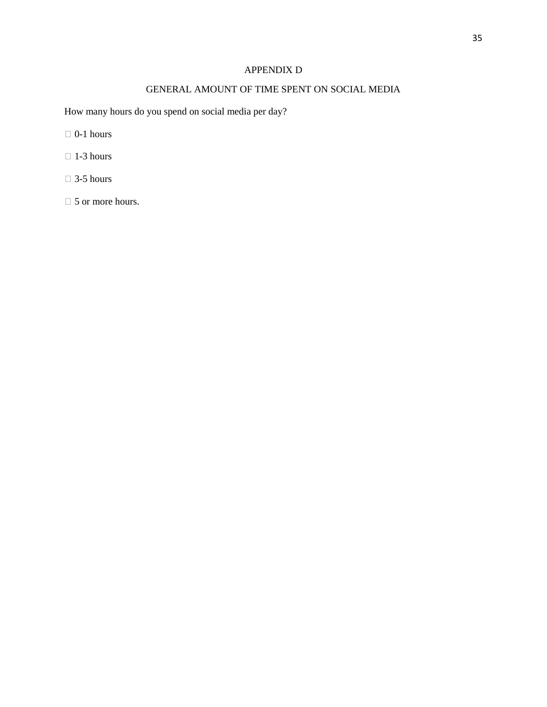## APPENDIX D

## GENERAL AMOUNT OF TIME SPENT ON SOCIAL MEDIA

How many hours do you spend on social media per day?

- $\Box$  0-1 hours
- $\Box$  1-3 hours
- $\Box$  3-5 hours
- □ 5 or more hours.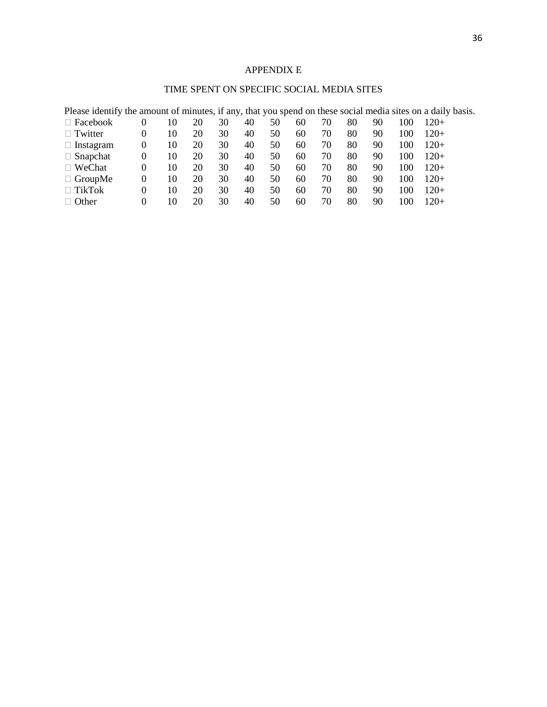## APPENDIX E

## TIME SPENT ON SPECIFIC SOCIAL MEDIA SITES

| Please identify the amount of minutes, if any, that you spend on these social media sites on a daily basis. |          |    |    |    |    |    |    |    |    |    |     |        |
|-------------------------------------------------------------------------------------------------------------|----------|----|----|----|----|----|----|----|----|----|-----|--------|
| $\Box$ Facebook                                                                                             | 0        | 10 | 20 | 30 | 40 | 50 | 60 | 70 | 80 | 90 | 100 | $120+$ |
| $\Box$ Twitter                                                                                              | 0        | 10 | 20 | 30 | 40 | 50 | 60 | 70 | 80 | 90 | 100 | $120+$ |
| $\Box$ Instagram                                                                                            | $\theta$ | 10 | 20 | 30 | 40 | 50 | 60 | 70 | 80 | 90 | 100 | $120+$ |
| $\Box$ Snapchat                                                                                             | $\theta$ | 10 | 20 | 30 | 40 | 50 | 60 | 70 | 80 | 90 | 100 | $120+$ |
| $\Box$ WeChat                                                                                               | 0        | 10 | 20 | 30 | 40 | 50 | 60 | 70 | 80 | 90 | 100 | $120+$ |
| $\Box$ GroupMe                                                                                              | $\Omega$ | 10 | 20 | 30 | 40 | 50 | 60 | 70 | 80 | 90 | 100 | $120+$ |
| $\Box$ TikTok                                                                                               | $\Omega$ | 10 | 20 | 30 | 40 | 50 | 60 | 70 | 80 | 90 | 100 | $120+$ |
| $\Box$ Other                                                                                                | 0        | 10 | 20 | 30 | 40 | 50 | 60 | 70 | 80 | 90 | 100 | $120+$ |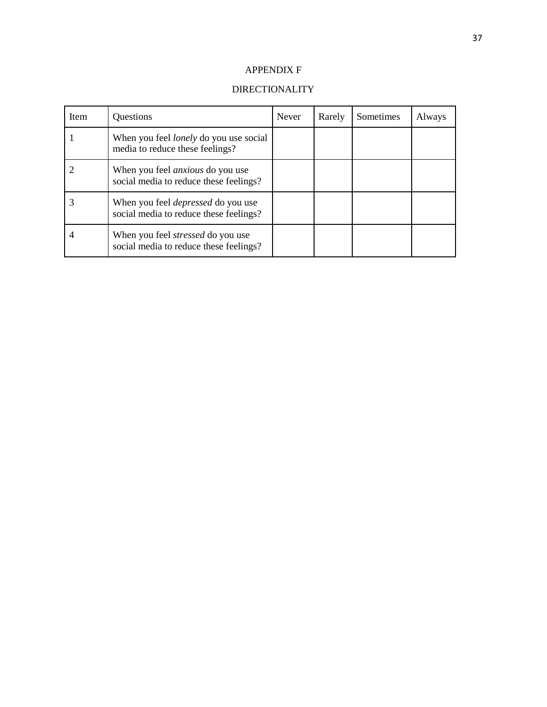## APPENDIX F

## DIRECTIONALITY

| Item | Questions                                                                           | <b>Never</b> | Rarely | Sometimes | Always |
|------|-------------------------------------------------------------------------------------|--------------|--------|-----------|--------|
|      | When you feel <i>lonely</i> do you use social<br>media to reduce these feelings?    |              |        |           |        |
|      | When you feel <i>anxious</i> do you use<br>social media to reduce these feelings?   |              |        |           |        |
|      | When you feel <i>depressed</i> do you use<br>social media to reduce these feelings? |              |        |           |        |
|      | When you feel <i>stressed</i> do you use<br>social media to reduce these feelings?  |              |        |           |        |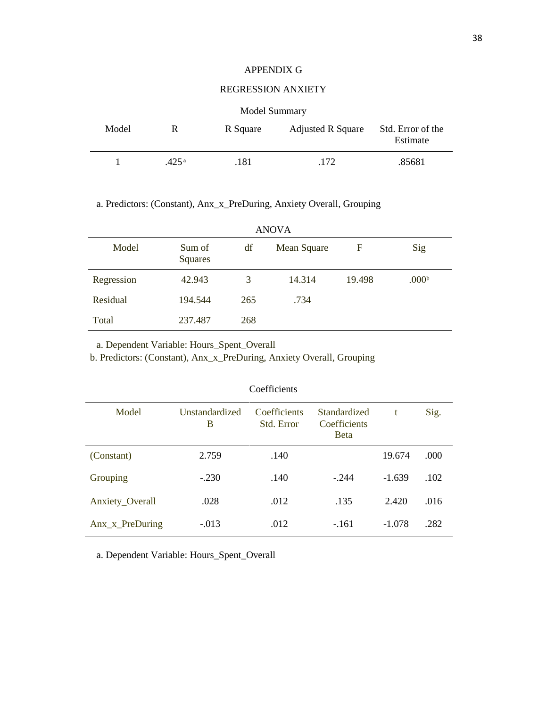#### APPENDIX G

#### REGRESSION ANXIETY

| Model Summary |       |          |                          |                               |  |  |
|---------------|-------|----------|--------------------------|-------------------------------|--|--|
| Model         | R     | R Square | <b>Adjusted R Square</b> | Std. Error of the<br>Estimate |  |  |
|               | .425a | .181     | .172                     | .85681                        |  |  |

 $Mod<sub>ol</sub>$ 

a. Predictors: (Constant), Anx\_x\_PreDuring, Anxiety Overall, Grouping

| <b>ANOVA</b> |                   |     |             |        |                   |  |  |
|--------------|-------------------|-----|-------------|--------|-------------------|--|--|
| Model        | Sum of<br>Squares | df  | Mean Square | F      | Sig               |  |  |
| Regression   | 42.943            | 3   | 14.314      | 19.498 | .000 <sup>b</sup> |  |  |
| Residual     | 194.544           | 265 | .734        |        |                   |  |  |
| Total        | 237.487           | 268 |             |        |                   |  |  |

a. Dependent Variable: Hours\_Spent\_Overall

b. Predictors: (Constant), Anx\_x\_PreDuring, Anxiety Overall, Grouping

| Coefficients                |                     |                            |                                              |          |      |  |  |
|-----------------------------|---------------------|----------------------------|----------------------------------------------|----------|------|--|--|
| Model                       | Unstandardized<br>B | Coefficients<br>Std. Error | Standardized<br>Coefficients<br><b>B</b> eta | t        | Sig. |  |  |
| (Constant)                  | 2.759               | .140                       |                                              | 19.674   | .000 |  |  |
| Grouping                    | $-.230$             | .140                       | $-244$                                       | $-1.639$ | .102 |  |  |
| Anxiety_Overall             | .028                | .012                       | .135                                         | 2.420    | .016 |  |  |
| Anx <sub>_X_PreDuring</sub> | $-.013$             | .012                       | $-161$                                       | $-1.078$ | .282 |  |  |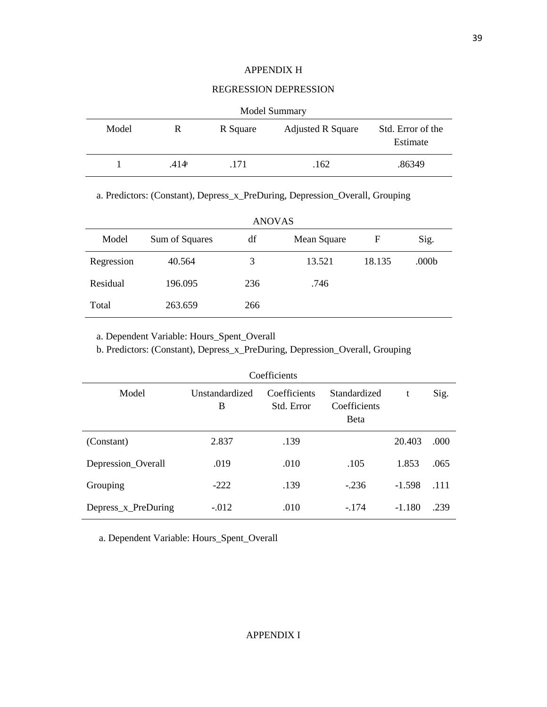#### APPENDIX H

#### REGRESSION DEPRESSION

|       | <b>Model Summary</b> |          |                          |                               |  |  |  |
|-------|----------------------|----------|--------------------------|-------------------------------|--|--|--|
| Model | R                    | R Square | <b>Adjusted R Square</b> | Std. Error of the<br>Estimate |  |  |  |
|       | .414 <sup>a</sup>    | .171     | .162                     | .86349                        |  |  |  |

a. Predictors: (Constant), Depress\_x\_PreDuring, Depression\_Overall, Grouping

| <b>ANOVAS</b> |                |     |             |        |       |  |
|---------------|----------------|-----|-------------|--------|-------|--|
| Model         | Sum of Squares | df  | Mean Square | F      | Sig.  |  |
| Regression    | 40.564         | 3   | 13.521      | 18.135 | .000b |  |
| Residual      | 196.095        | 236 | .746        |        |       |  |
| Total         | 263.659        | 266 |             |        |       |  |

a. Dependent Variable: Hours\_Spent\_Overall

b. Predictors: (Constant), Depress\_x\_PreDuring, Depression\_Overall, Grouping

| Coefficients        |                     |                            |                                              |          |      |  |
|---------------------|---------------------|----------------------------|----------------------------------------------|----------|------|--|
| Model               | Unstandardized<br>B | Coefficients<br>Std. Error | Standardized<br>Coefficients<br><b>B</b> eta | t        | Sig. |  |
| (Constant)          | 2.837               | .139                       |                                              | 20.403   | .000 |  |
| Depression_Overall  | .019                | .010                       | .105                                         | 1.853    | .065 |  |
| Grouping            | $-222$              | .139                       | $-.236$                                      | $-1.598$ | .111 |  |
| Depress_x_PreDuring | $-.012$             | .010                       | $-174$                                       | $-1.180$ | .239 |  |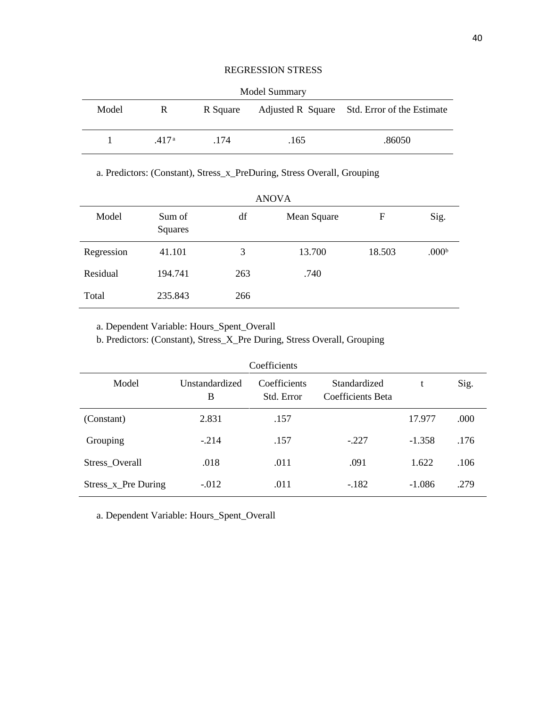#### REGRESSION STRESS

| <b>Model Summary</b> |      |          |      |                                              |  |  |
|----------------------|------|----------|------|----------------------------------------------|--|--|
| Model                | R.   | R Square |      | Adjusted R Square Std. Error of the Estimate |  |  |
| $\mathbf{L}$         | 417a | .174     | .165 | .86050                                       |  |  |

a. Predictors: (Constant), Stress\_x\_PreDuring, Stress Overall, Grouping

| ANOVA      |                   |     |             |        |                   |  |  |
|------------|-------------------|-----|-------------|--------|-------------------|--|--|
| Model      | Sum of<br>Squares | df  | Mean Square | F      | Sig.              |  |  |
| Regression | 41.101            | 3   | 13.700      | 18.503 | .000 <sup>b</sup> |  |  |
| Residual   | 194.741           | 263 | .740        |        |                   |  |  |
| Total      | 235.843           | 266 |             |        |                   |  |  |

ANOVA

a. Dependent Variable: Hours\_Spent\_Overall

b. Predictors: (Constant), Stress\_X\_Pre During, Stress Overall, Grouping

| Coefficients        |                     |                            |                                   |          |      |  |  |
|---------------------|---------------------|----------------------------|-----------------------------------|----------|------|--|--|
| Model               | Unstandardized<br>B | Coefficients<br>Std. Error | Standardized<br>Coefficients Beta | t        | Sig. |  |  |
| (Constant)          | 2.831               | .157                       |                                   | 17.977   | .000 |  |  |
| Grouping            | $-.214$             | .157                       | $-.227$                           | $-1.358$ | .176 |  |  |
| Stress_Overall      | .018                | .011                       | .091                              | 1.622    | .106 |  |  |
| Stress_x_Pre During | $-.012$             | .011                       | $-182$                            | $-1.086$ | .279 |  |  |